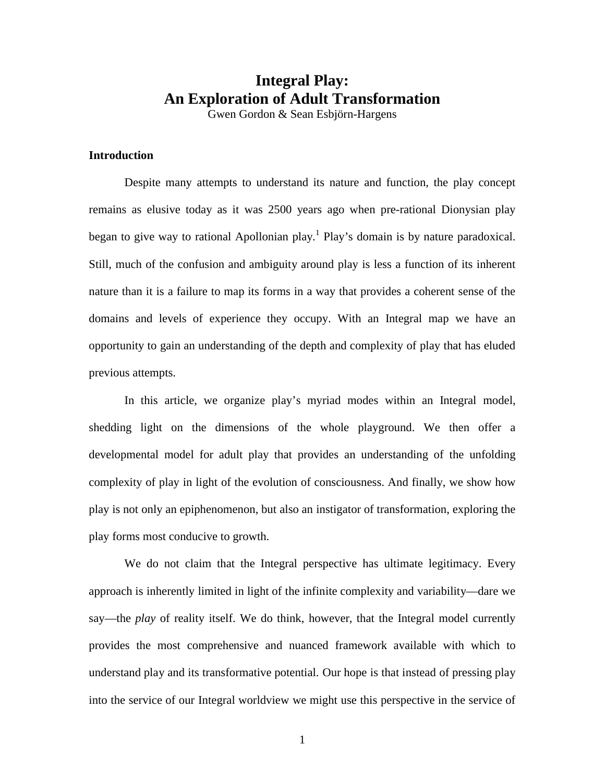# **Integral Play: An Exploration of Adult Transformation**

Gwen Gordon & Sean Esbjörn-Hargens

#### **Introduction**

Despite many attempts to understand its nature and function, the play concept remains as elusive today as it was 2500 years ago when pre-rational Dionysian play began to give way to rational Apollonian play.<sup>1</sup> Play's domain is by nature paradoxical. Still, much of the confusion and ambiguity around play is less a function of its inherent nature than it is a failure to map its forms in a way that provides a coherent sense of the domains and levels of experience they occupy. With an Integral map we have an opportunity to gain an understanding of the depth and complexity of play that has eluded previous attempts.

In this article, we organize play's myriad modes within an Integral model, shedding light on the dimensions of the whole playground. We then offer a developmental model for adult play that provides an understanding of the unfolding complexity of play in light of the evolution of consciousness. And finally, we show how play is not only an epiphenomenon, but also an instigator of transformation, exploring the play forms most conducive to growth.

We do not claim that the Integral perspective has ultimate legitimacy. Every approach is inherently limited in light of the infinite complexity and variability—dare we say—the *play* of reality itself. We do think, however, that the Integral model currently provides the most comprehensive and nuanced framework available with which to understand play and its transformative potential. Our hope is that instead of pressing play into the service of our Integral worldview we might use this perspective in the service of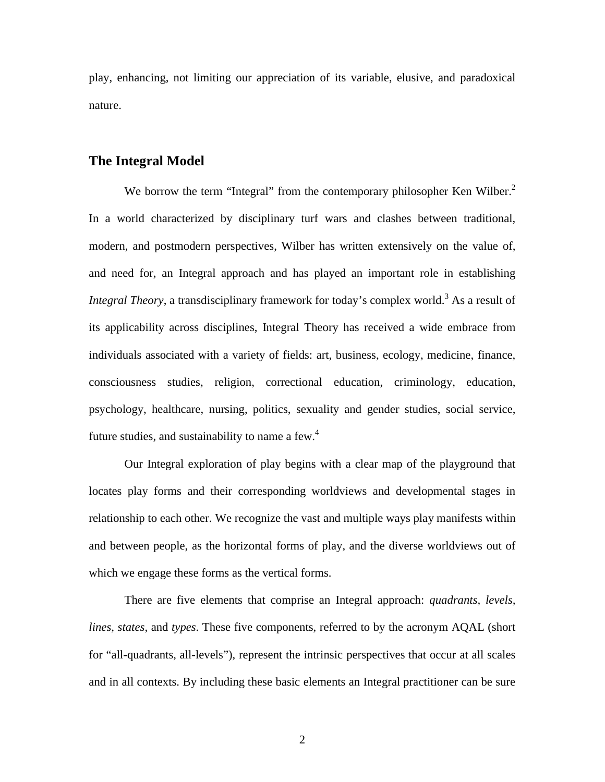play, enhancing, not limiting our appreciation of its variable, elusive, and paradoxical nature.

# **The Integral Model**

We borrow the term "Integral" from the contemporary philosopher Ken Wilber.<sup>2</sup> In a world characterized by disciplinary turf wars and clashes between traditional, modern, and postmodern perspectives, Wilber has written extensively on the value of, and need for, an Integral approach and has played an important role in establishing *Integral Theory*, a transdisciplinary framework for today's complex world.<sup>3</sup> As a result of its applicability across disciplines, Integral Theory has received a wide embrace from individuals associated with a variety of fields: art, business, ecology, medicine, finance, consciousness studies, religion, correctional education, criminology, education, psychology, healthcare, nursing, politics, sexuality and gender studies, social service, future studies, and sustainability to name a few. $4$ 

Our Integral exploration of play begins with a clear map of the playground that locates play forms and their corresponding worldviews and developmental stages in relationship to each other. We recognize the vast and multiple ways play manifests within and between people, as the horizontal forms of play, and the diverse worldviews out of which we engage these forms as the vertical forms.

There are five elements that comprise an Integral approach: *quadrants, levels, lines, states*, and *types*. These five components, referred to by the acronym AQAL (short for "all-quadrants, all-levels"), represent the intrinsic perspectives that occur at all scales and in all contexts. By including these basic elements an Integral practitioner can be sure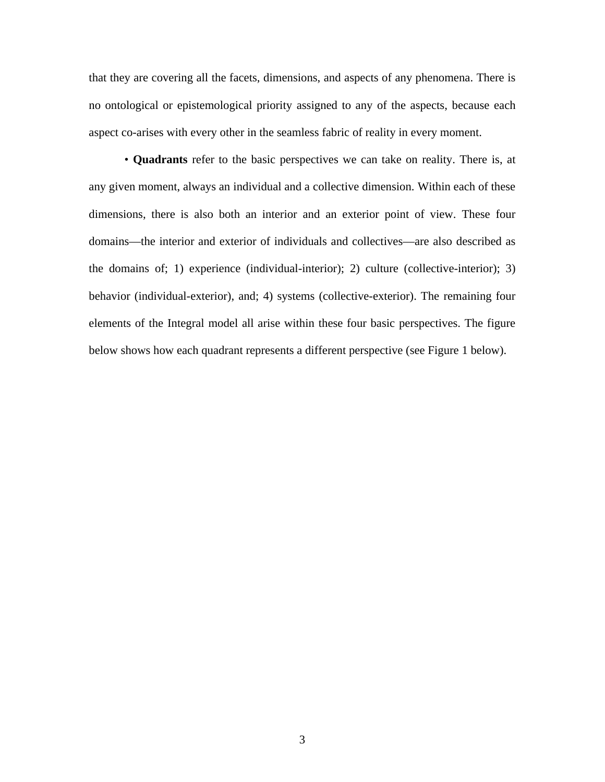that they are covering all the facets, dimensions, and aspects of any phenomena. There is no ontological or epistemological priority assigned to any of the aspects, because each aspect co-arises with every other in the seamless fabric of reality in every moment.

• **Quadrants** refer to the basic perspectives we can take on reality. There is, at any given moment, always an individual and a collective dimension. Within each of these dimensions, there is also both an interior and an exterior point of view. These four domains—the interior and exterior of individuals and collectives—are also described as the domains of; 1) experience (individual-interior); 2) culture (collective-interior); 3) behavior (individual-exterior), and; 4) systems (collective-exterior). The remaining four elements of the Integral model all arise within these four basic perspectives. The figure below shows how each quadrant represents a different perspective (see Figure 1 below).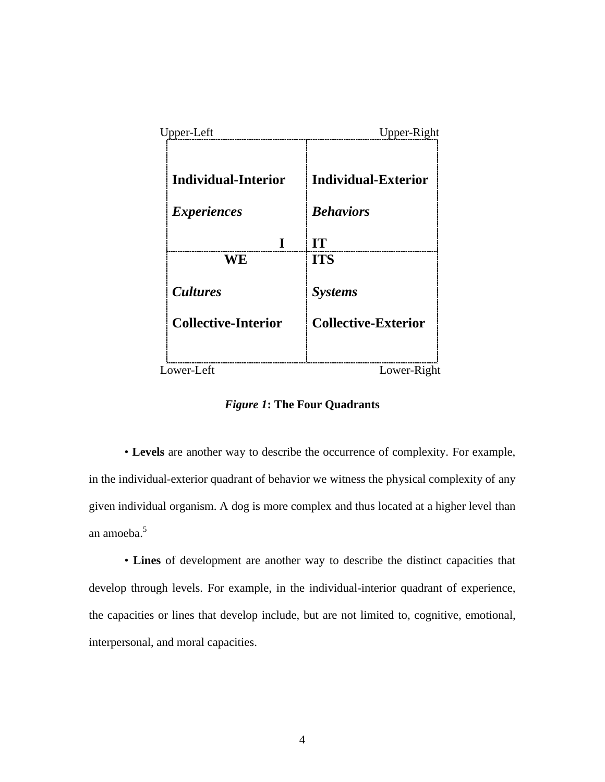| Upper-Left                 | Upper-Right                |
|----------------------------|----------------------------|
| <b>Individual-Interior</b> | <b>Individual-Exterior</b> |
| <i>Experiences</i>         | <b>Behaviors</b>           |
| I                          | IT                         |
| WE                         | <b>ITS</b>                 |
| <i>Cultures</i>            | <b>Systems</b>             |
| <b>Collective-Interior</b> | <b>Collective-Exterior</b> |
|                            |                            |
| Lower-Left                 | Lower-Right                |

*Figure 1***: The Four Quadrants**

• **Levels** are another way to describe the occurrence of complexity. For example, in the individual-exterior quadrant of behavior we witness the physical complexity of any given individual organism. A dog is more complex and thus located at a higher level than an amoeba.5

• **Lines** of development are another way to describe the distinct capacities that develop through levels. For example, in the individual-interior quadrant of experience, the capacities or lines that develop include, but are not limited to, cognitive, emotional, interpersonal, and moral capacities.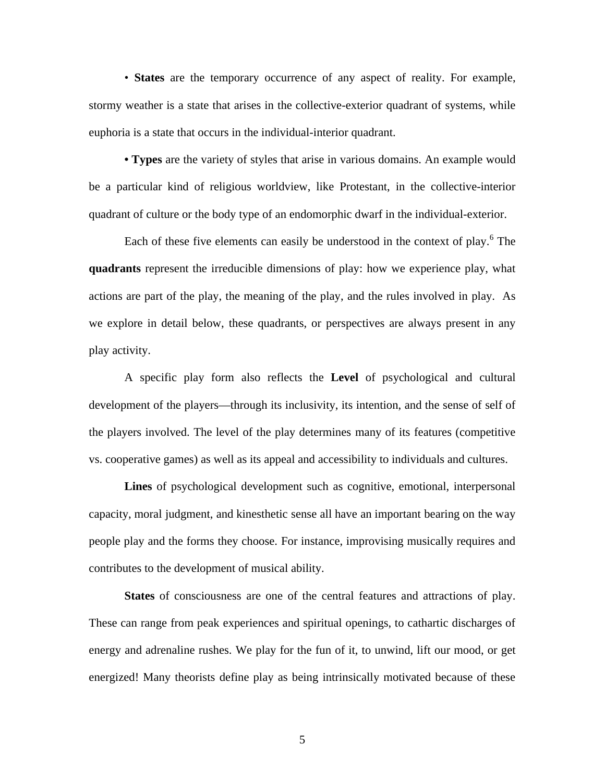• **States** are the temporary occurrence of any aspect of reality. For example, stormy weather is a state that arises in the collective-exterior quadrant of systems, while euphoria is a state that occurs in the individual-interior quadrant.

**• Types** are the variety of styles that arise in various domains. An example would be a particular kind of religious worldview, like Protestant, in the collective-interior quadrant of culture or the body type of an endomorphic dwarf in the individual-exterior.

Each of these five elements can easily be understood in the context of play.<sup>6</sup> The **quadrants** represent the irreducible dimensions of play: how we experience play, what actions are part of the play, the meaning of the play, and the rules involved in play. As we explore in detail below, these quadrants, or perspectives are always present in any play activity.

A specific play form also reflects the **Level** of psychological and cultural development of the players—through its inclusivity, its intention, and the sense of self of the players involved. The level of the play determines many of its features (competitive vs. cooperative games) as well as its appeal and accessibility to individuals and cultures.

**Lines** of psychological development such as cognitive, emotional, interpersonal capacity, moral judgment, and kinesthetic sense all have an important bearing on the way people play and the forms they choose. For instance, improvising musically requires and contributes to the development of musical ability.

**States** of consciousness are one of the central features and attractions of play. These can range from peak experiences and spiritual openings, to cathartic discharges of energy and adrenaline rushes. We play for the fun of it, to unwind, lift our mood, or get energized! Many theorists define play as being intrinsically motivated because of these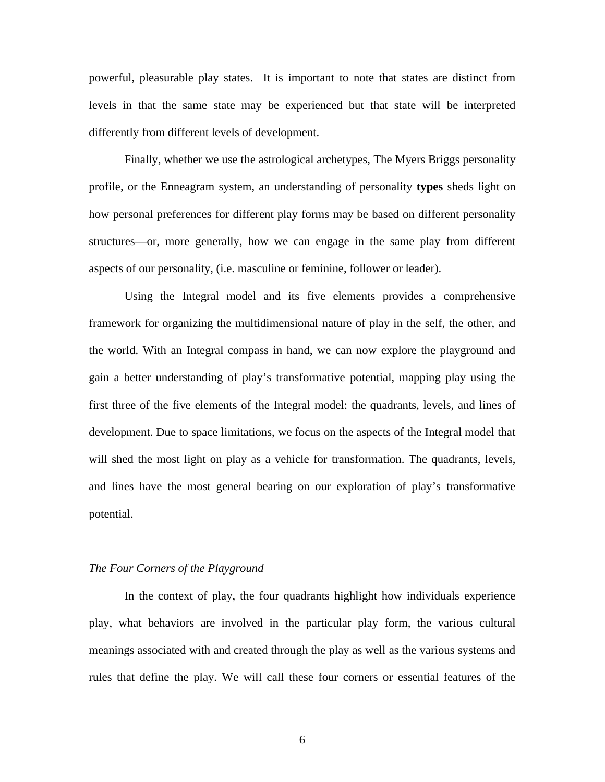powerful, pleasurable play states. It is important to note that states are distinct from levels in that the same state may be experienced but that state will be interpreted differently from different levels of development.

Finally, whether we use the astrological archetypes, The Myers Briggs personality profile, or the Enneagram system, an understanding of personality **types** sheds light on how personal preferences for different play forms may be based on different personality structures—or, more generally, how we can engage in the same play from different aspects of our personality, (i.e. masculine or feminine, follower or leader).

Using the Integral model and its five elements provides a comprehensive framework for organizing the multidimensional nature of play in the self, the other, and the world. With an Integral compass in hand, we can now explore the playground and gain a better understanding of play's transformative potential, mapping play using the first three of the five elements of the Integral model: the quadrants, levels, and lines of development. Due to space limitations, we focus on the aspects of the Integral model that will shed the most light on play as a vehicle for transformation. The quadrants, levels, and lines have the most general bearing on our exploration of play's transformative potential.

# *The Four Corners of the Playground*

In the context of play, the four quadrants highlight how individuals experience play, what behaviors are involved in the particular play form, the various cultural meanings associated with and created through the play as well as the various systems and rules that define the play. We will call these four corners or essential features of the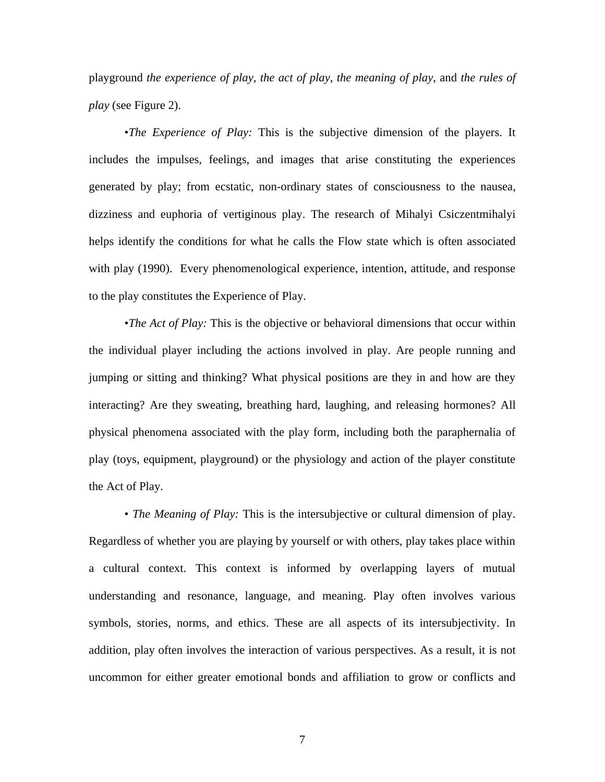playground *the experience of play, the act of play, the meaning of play*, and *the rules of play* (see Figure 2).

•*The Experience of Play:* This is the subjective dimension of the players. It includes the impulses, feelings, and images that arise constituting the experiences generated by play; from ecstatic, non-ordinary states of consciousness to the nausea, dizziness and euphoria of vertiginous play. The research of Mihalyi Csiczentmihalyi helps identify the conditions for what he calls the Flow state which is often associated with play (1990). Every phenomenological experience, intention, attitude, and response to the play constitutes the Experience of Play.

•*The Act of Play:* This is the objective or behavioral dimensions that occur within the individual player including the actions involved in play. Are people running and jumping or sitting and thinking? What physical positions are they in and how are they interacting? Are they sweating, breathing hard, laughing, and releasing hormones? All physical phenomena associated with the play form, including both the paraphernalia of play (toys, equipment, playground) or the physiology and action of the player constitute the Act of Play.

• *The Meaning of Play:* This is the intersubjective or cultural dimension of play. Regardless of whether you are playing by yourself or with others, play takes place within a cultural context. This context is informed by overlapping layers of mutual understanding and resonance, language, and meaning. Play often involves various symbols, stories, norms, and ethics. These are all aspects of its intersubjectivity. In addition, play often involves the interaction of various perspectives. As a result, it is not uncommon for either greater emotional bonds and affiliation to grow or conflicts and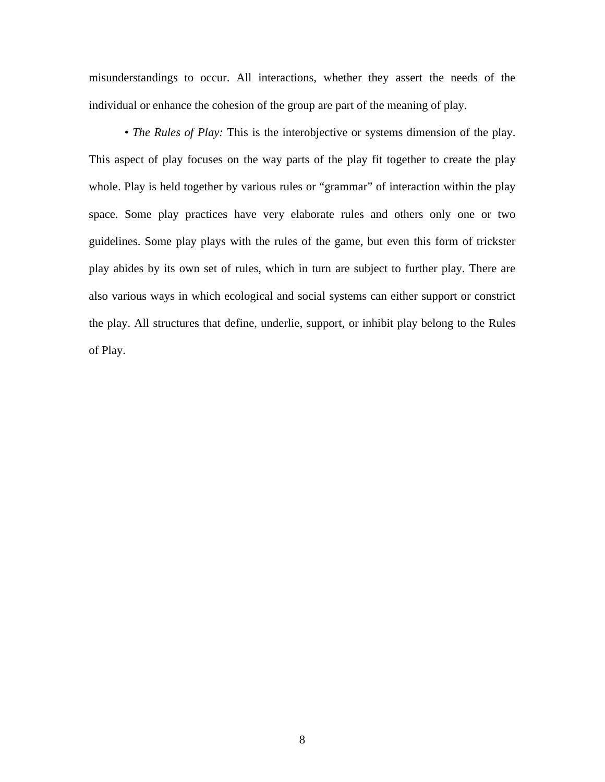misunderstandings to occur. All interactions, whether they assert the needs of the individual or enhance the cohesion of the group are part of the meaning of play.

*• The Rules of Play:* This is the interobjective or systems dimension of the play. This aspect of play focuses on the way parts of the play fit together to create the play whole. Play is held together by various rules or "grammar" of interaction within the play space. Some play practices have very elaborate rules and others only one or two guidelines. Some play plays with the rules of the game, but even this form of trickster play abides by its own set of rules, which in turn are subject to further play. There are also various ways in which ecological and social systems can either support or constrict the play. All structures that define, underlie, support, or inhibit play belong to the Rules of Play.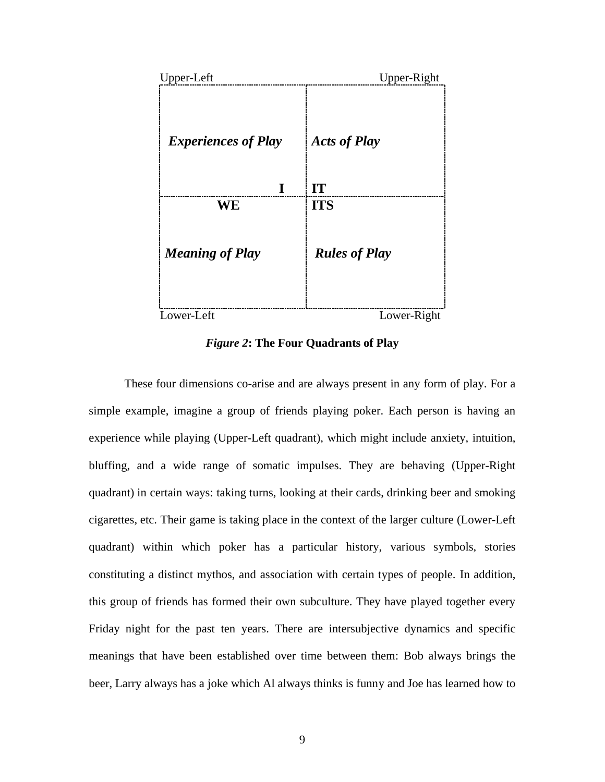

*Figure 2***: The Four Quadrants of Play**

These four dimensions co-arise and are always present in any form of play. For a simple example, imagine a group of friends playing poker. Each person is having an experience while playing (Upper-Left quadrant), which might include anxiety, intuition, bluffing, and a wide range of somatic impulses. They are behaving (Upper-Right quadrant) in certain ways: taking turns, looking at their cards, drinking beer and smoking cigarettes, etc. Their game is taking place in the context of the larger culture (Lower-Left quadrant) within which poker has a particular history, various symbols, stories constituting a distinct mythos, and association with certain types of people. In addition, this group of friends has formed their own subculture. They have played together every Friday night for the past ten years. There are intersubjective dynamics and specific meanings that have been established over time between them: Bob always brings the beer, Larry always has a joke which Al always thinks is funny and Joe has learned how to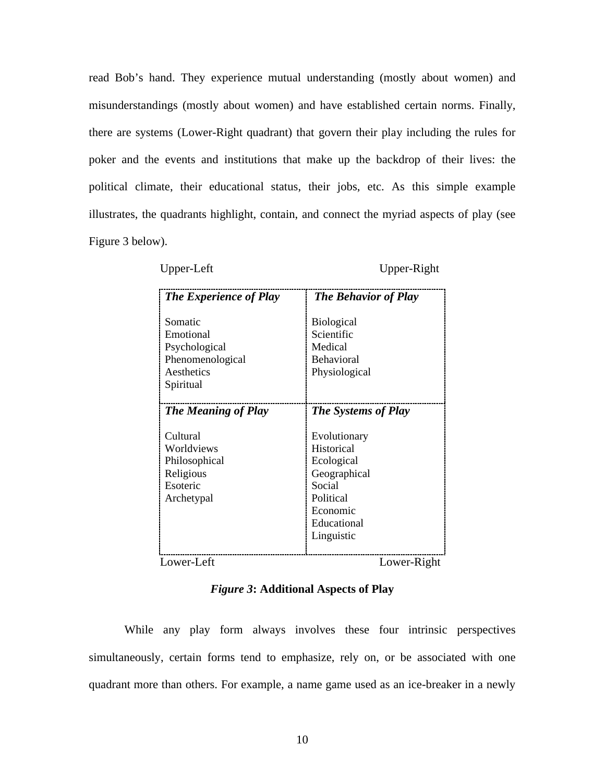read Bob's hand. They experience mutual understanding (mostly about women) and misunderstandings (mostly about women) and have established certain norms. Finally, there are systems (Lower-Right quadrant) that govern their play including the rules for poker and the events and institutions that make up the backdrop of their lives: the political climate, their educational status, their jobs, etc. As this simple example illustrates, the quadrants highlight, contain, and connect the myriad aspects of play (see Figure 3 below).

Upper-Left Upper-Right

| <b>The Experience of Play</b>                                                        | <b>The Behavior of Play</b>                                                                                              |
|--------------------------------------------------------------------------------------|--------------------------------------------------------------------------------------------------------------------------|
| Somatic<br>Emotional<br>Psychological<br>Phenomenological<br>Aesthetics<br>Spiritual | <b>Biological</b><br>Scientific<br>Medical<br><b>Behavioral</b><br>Physiological                                         |
| <b>The Meaning of Play</b>                                                           | <b>The Systems of Play</b>                                                                                               |
| Cultural<br>Worldviews<br>Philosophical<br>Religious<br>Esoteric<br>Archetypal       | Evolutionary<br>Historical<br>Ecological<br>Geographical<br>Social<br>Political<br>Economic<br>Educational<br>Linguistic |
| Lower-Left                                                                           | Lower-Right                                                                                                              |

#### *Figure 3***: Additional Aspects of Play**

While any play form always involves these four intrinsic perspectives simultaneously, certain forms tend to emphasize, rely on, or be associated with one quadrant more than others. For example, a name game used as an ice-breaker in a newly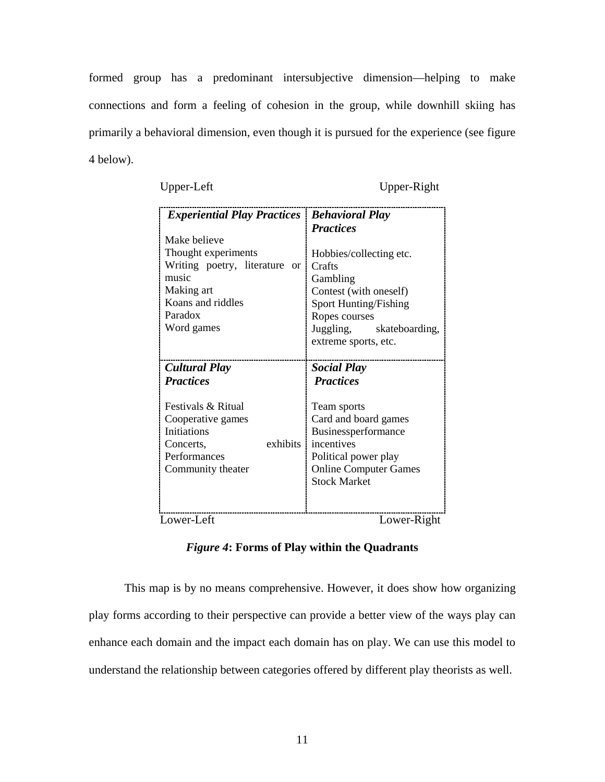formed group has a predominant intersubjective dimension—helping to make connections and form a feeling of cohesion in the group, while downhill skiing has primarily a behavioral dimension, even though it is pursued for the experience (see figure 4 below).

Upper-Left Upper-Right

| <b>Experiential Play Practices   Behavioral Play</b> | <b>Practices</b>             |
|------------------------------------------------------|------------------------------|
| Make believe                                         | Hobbies/collecting etc.      |
| Thought experiments                                  | Crafts                       |
| Writing poetry, literature                           | Gambling                     |
| or 1                                                 | Contest (with oneself)       |
| music                                                | Sport Hunting/Fishing        |
| Making art                                           | Ropes courses                |
| Koans and riddles                                    | Juggling,                    |
| Paradox                                              | skateboarding,               |
| Word games                                           | extreme sports, etc.         |
| <b>Cultural Play</b>                                 | <b>Social Play</b>           |
| <b>Practices</b>                                     | <b>Practices</b>             |
| Festivals & Ritual                                   | Team sports                  |
| Cooperative games                                    | Card and board games         |
| <b>Initiations</b>                                   | Businessperformance          |
| exhibits                                             | incentives                   |
| Concerts,                                            | Political power play         |
| Performances                                         | <b>Online Computer Games</b> |
| Community theater                                    | <b>Stock Market</b>          |
| Lower-Left                                           | Lower-Right                  |

*Figure 4***: Forms of Play within the Quadrants**

This map is by no means comprehensive. However, it does show how organizing play forms according to their perspective can provide a better view of the ways play can enhance each domain and the impact each domain has on play. We can use this model to understand the relationship between categories offered by different play theorists as well.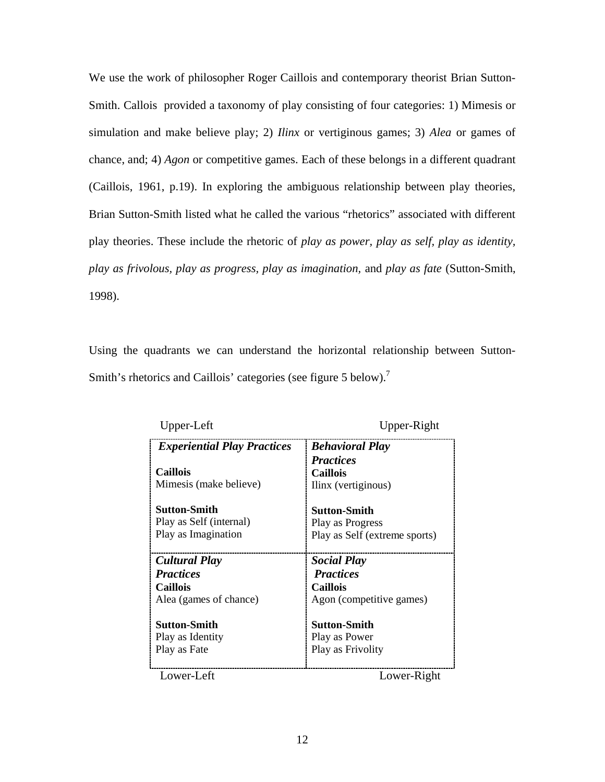We use the work of philosopher Roger Caillois and contemporary theorist Brian Sutton-Smith. Callois provided a taxonomy of play consisting of four categories: 1) Mimesis or simulation and make believe play; 2) *Ilinx* or vertiginous games; 3) *Alea* or games of chance, and; 4) *Agon* or competitive games. Each of these belongs in a different quadrant (Caillois, 1961, p.19). In exploring the ambiguous relationship between play theories, Brian Sutton-Smith listed what he called the various "rhetorics" associated with different play theories. These include the rhetoric of *play as power, play as self, play as identity, play as frivolous, play as progress, play as imagination,* and *play as fate* (Sutton-Smith, 1998).

Using the quadrants we can understand the horizontal relationship between Sutton-Smith's rhetorics and Caillois' categories (see figure 5 below).<sup>7</sup>

| Upper-Left                         | Upper-Right                   |
|------------------------------------|-------------------------------|
| <b>Experiential Play Practices</b> | <b>Behavioral Play</b>        |
|                                    | <b>Practices</b>              |
| <b>Caillois</b>                    | <b>Caillois</b>               |
| Mimesis (make believe)             | Ilinx (vertiginous)           |
| Sutton-Smith                       | <b>Sutton-Smith</b>           |
| Play as Self (internal)            | Play as Progress              |
| Play as Imagination                | Play as Self (extreme sports) |
| Cultural Play                      | <b>Social Play</b>            |
| <b>Practices</b>                   | <b>Practices</b>              |
| <b>Caillois</b>                    | Caillois                      |
| Alea (games of chance)             | Agon (competitive games)      |
| <b>Sutton-Smith</b>                | <b>Sutton-Smith</b>           |
| Play as Identity                   | Play as Power                 |
| Play as Fate                       | Play as Frivolity             |
| Lower-Left                         | Lower-Right                   |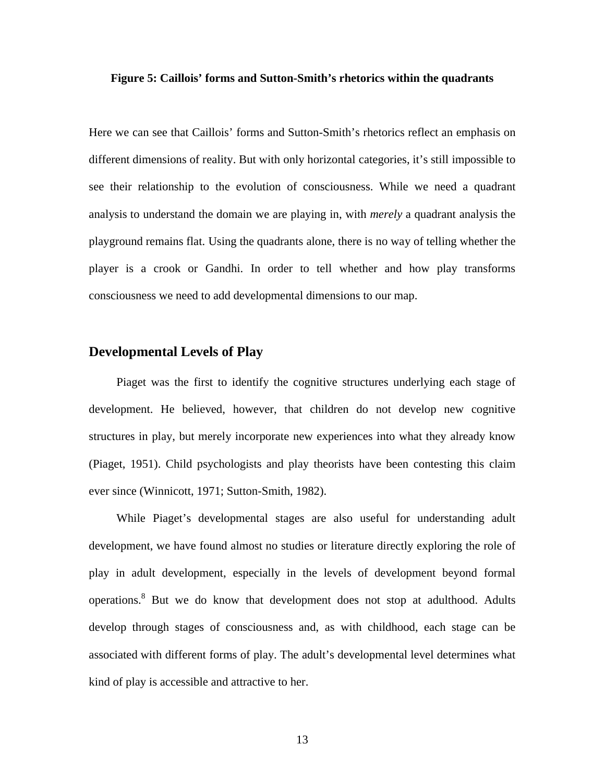#### **Figure 5: Caillois' forms and Sutton-Smith's rhetorics within the quadrants**

Here we can see that Caillois' forms and Sutton-Smith's rhetorics reflect an emphasis on different dimensions of reality. But with only horizontal categories, it's still impossible to see their relationship to the evolution of consciousness. While we need a quadrant analysis to understand the domain we are playing in, with *merely* a quadrant analysis the playground remains flat. Using the quadrants alone, there is no way of telling whether the player is a crook or Gandhi. In order to tell whether and how play transforms consciousness we need to add developmental dimensions to our map.

# **Developmental Levels of Play**

Piaget was the first to identify the cognitive structures underlying each stage of development. He believed, however, that children do not develop new cognitive structures in play, but merely incorporate new experiences into what they already know (Piaget, 1951). Child psychologists and play theorists have been contesting this claim ever since (Winnicott, 1971; Sutton-Smith, 1982).

While Piaget's developmental stages are also useful for understanding adult development, we have found almost no studies or literature directly exploring the role of play in adult development, especially in the levels of development beyond formal operations.<sup>8</sup> But we do know that development does not stop at adulthood. Adults develop through stages of consciousness and, as with childhood, each stage can be associated with different forms of play. The adult's developmental level determines what kind of play is accessible and attractive to her.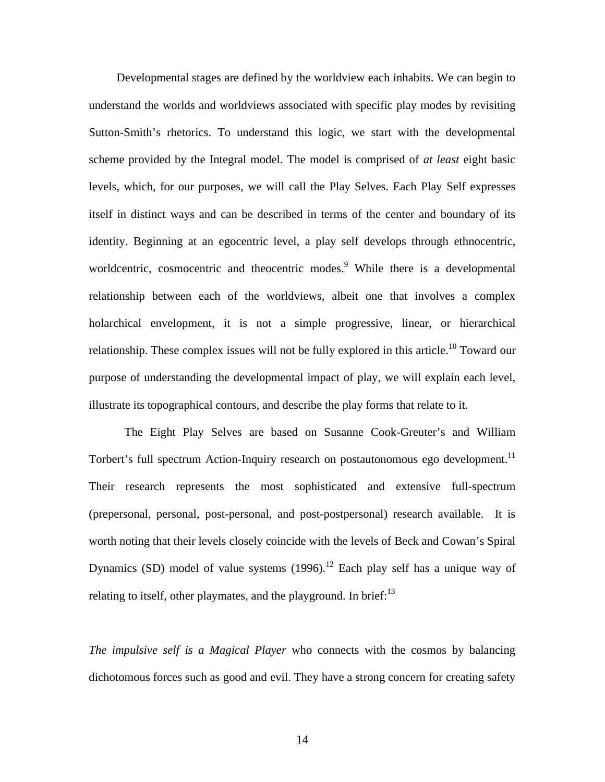Developmental stages are defined by the worldview each inhabits. We can begin to understand the worlds and worldviews associated with specific play modes by revisiting Sutton-Smith's rhetorics. To understand this logic, we start with the developmental scheme provided by the Integral model. The model is comprised of *at least* eight basic levels, which, for our purposes, we will call the Play Selves. Each Play Self expresses itself in distinct ways and can be described in terms of the center and boundary of its identity. Beginning at an egocentric level, a play self develops through ethnocentric, worldcentric, cosmocentric and theocentric modes.<sup>9</sup> While there is a developmental relationship between each of the worldviews, albeit one that involves a complex holarchical envelopment, it is not a simple progressive, linear, or hierarchical relationship. These complex issues will not be fully explored in this article.<sup>10</sup> Toward our purpose of understanding the developmental impact of play, we will explain each level, illustrate its topographical contours, and describe the play forms that relate to it.

The Eight Play Selves are based on Susanne Cook-Greuter's and William Torbert's full spectrum Action-Inquiry research on postautonomous ego development.<sup>11</sup> Their research represents the most sophisticated and extensive full-spectrum (prepersonal, personal, post-personal, and post-postpersonal) research available. It is worth noting that their levels closely coincide with the levels of Beck and Cowan's Spiral Dynamics (SD) model of value systems  $(1996)$ .<sup>12</sup> Each play self has a unique way of relating to itself, other playmates, and the playground. In brief: $^{13}$ 

*The impulsive self is a Magical Player* who connects with the cosmos by balancing dichotomous forces such as good and evil. They have a strong concern for creating safety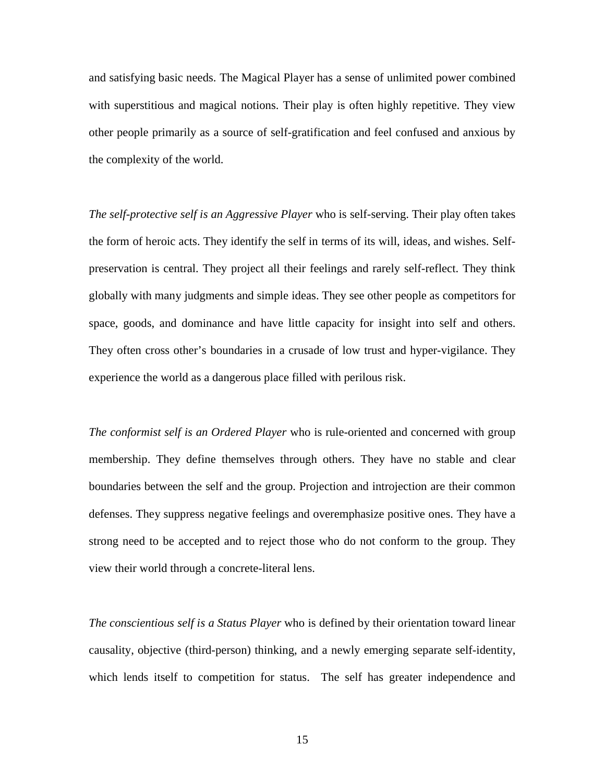and satisfying basic needs. The Magical Player has a sense of unlimited power combined with superstitious and magical notions. Their play is often highly repetitive. They view other people primarily as a source of self-gratification and feel confused and anxious by the complexity of the world.

*The self-protective self is an Aggressive Player* who is self-serving. Their play often takes the form of heroic acts. They identify the self in terms of its will, ideas, and wishes. Selfpreservation is central. They project all their feelings and rarely self-reflect. They think globally with many judgments and simple ideas. They see other people as competitors for space, goods, and dominance and have little capacity for insight into self and others. They often cross other's boundaries in a crusade of low trust and hyper-vigilance. They experience the world as a dangerous place filled with perilous risk.

*The conformist self is an Ordered Player* who is rule-oriented and concerned with group membership. They define themselves through others. They have no stable and clear boundaries between the self and the group. Projection and introjection are their common defenses. They suppress negative feelings and overemphasize positive ones. They have a strong need to be accepted and to reject those who do not conform to the group. They view their world through a concrete-literal lens.

*The conscientious self is a Status Player* who is defined by their orientation toward linear causality, objective (third-person) thinking, and a newly emerging separate self-identity, which lends itself to competition for status. The self has greater independence and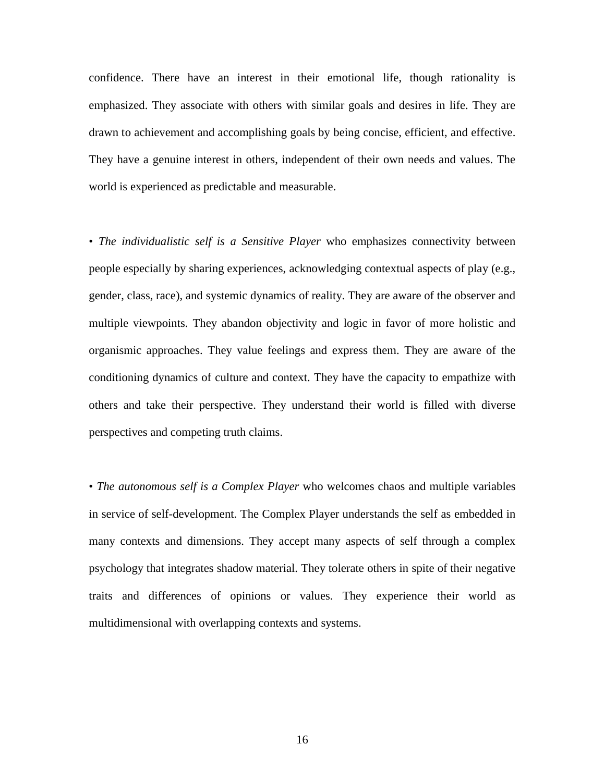confidence. There have an interest in their emotional life, though rationality is emphasized. They associate with others with similar goals and desires in life. They are drawn to achievement and accomplishing goals by being concise, efficient, and effective. They have a genuine interest in others, independent of their own needs and values. The world is experienced as predictable and measurable.

• *The individualistic self is a Sensitive Player* who emphasizes connectivity between people especially by sharing experiences, acknowledging contextual aspects of play (e.g., gender, class, race), and systemic dynamics of reality. They are aware of the observer and multiple viewpoints. They abandon objectivity and logic in favor of more holistic and organismic approaches. They value feelings and express them. They are aware of the conditioning dynamics of culture and context. They have the capacity to empathize with others and take their perspective. They understand their world is filled with diverse perspectives and competing truth claims.

• *The autonomous self is a Complex Player* who welcomes chaos and multiple variables in service of self-development. The Complex Player understands the self as embedded in many contexts and dimensions. They accept many aspects of self through a complex psychology that integrates shadow material. They tolerate others in spite of their negative traits and differences of opinions or values. They experience their world as multidimensional with overlapping contexts and systems.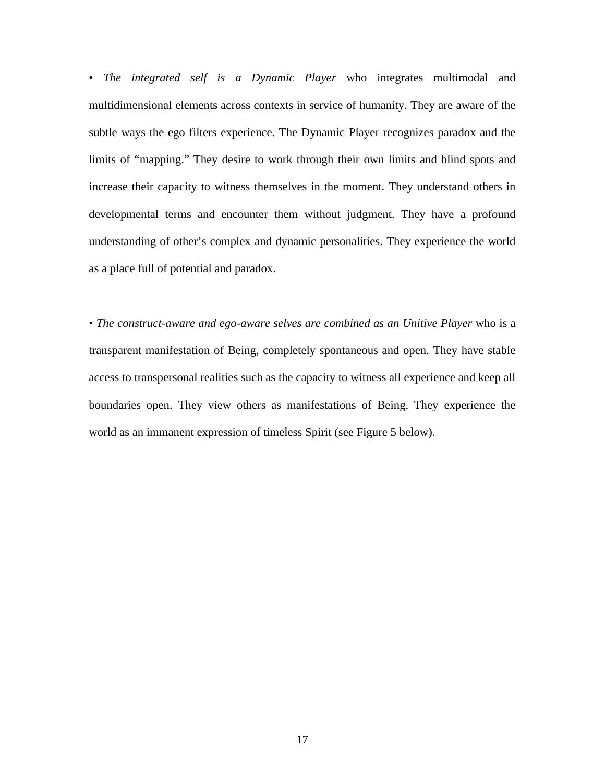• *The integrated self is a Dynamic Player* who integrates multimodal and multidimensional elements across contexts in service of humanity. They are aware of the subtle ways the ego filters experience. The Dynamic Player recognizes paradox and the limits of "mapping." They desire to work through their own limits and blind spots and increase their capacity to witness themselves in the moment. They understand others in developmental terms and encounter them without judgment. They have a profound understanding of other's complex and dynamic personalities. They experience the world as a place full of potential and paradox.

• *The construct-aware and ego-aware selves are combined as an Unitive Player* who is a transparent manifestation of Being, completely spontaneous and open. They have stable access to transpersonal realities such as the capacity to witness all experience and keep all boundaries open. They view others as manifestations of Being. They experience the world as an immanent expression of timeless Spirit (see Figure 5 below).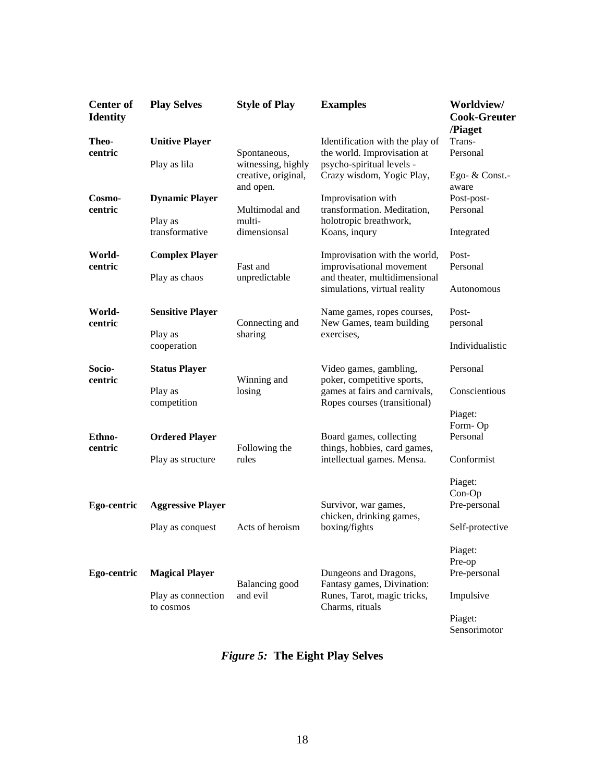| <b>Center of</b><br><b>Identity</b> | <b>Play Selves</b>              | <b>Style of Play</b>                      | <b>Examples</b>                                                                                                       | Worldview/<br><b>Cook-Greuter</b><br>/Piaget |
|-------------------------------------|---------------------------------|-------------------------------------------|-----------------------------------------------------------------------------------------------------------------------|----------------------------------------------|
| Theo-<br>centric                    | <b>Unitive Player</b>           | Spontaneous,                              | Identification with the play of<br>the world. Improvisation at                                                        | Trans-<br>Personal                           |
|                                     | Play as lila                    | witnessing, highly<br>creative, original, | psycho-spiritual levels -<br>Crazy wisdom, Yogic Play,                                                                | Ego- $&$ Const.                              |
| Cosmo-<br>centric                   | <b>Dynamic Player</b>           | and open.<br>Multimodal and               | Improvisation with<br>transformation. Meditation,                                                                     | aware<br>Post-post-<br>Personal              |
|                                     | Play as<br>transformative       | multi-<br>dimensionsal                    | holotropic breathwork,<br>Koans, inqury                                                                               | Integrated                                   |
| World-<br>centric                   | <b>Complex Player</b>           | Fast and                                  | Improvisation with the world,<br>improvisational movement                                                             | Post-<br>Personal                            |
|                                     | Play as chaos                   | unpredictable                             | and theater, multidimensional<br>simulations, virtual reality                                                         | Autonomous                                   |
| World-<br>centric                   | <b>Sensitive Player</b>         | Connecting and                            | Name games, ropes courses,<br>New Games, team building                                                                | Post-<br>personal                            |
|                                     | Play as<br>cooperation          | sharing                                   | exercises.                                                                                                            | Individualistic                              |
| Socio-<br>centric                   | <b>Status Player</b>            | Winning and                               | Video games, gambling,<br>poker, competitive sports,<br>games at fairs and carnivals,<br>Ropes courses (transitional) | Personal                                     |
|                                     | Play as<br>competition          | losing                                    |                                                                                                                       | Conscientious                                |
|                                     |                                 |                                           |                                                                                                                       | Piaget:<br>Form-Op                           |
| Ethno-<br>centric                   | <b>Ordered Player</b>           | Following the                             | Board games, collecting<br>things, hobbies, card games,                                                               | Personal                                     |
|                                     | Play as structure               | rules                                     | intellectual games. Mensa.                                                                                            | Conformist                                   |
|                                     |                                 |                                           |                                                                                                                       | Piaget:<br>Con-Op                            |
| Ego-centric                         | <b>Aggressive Player</b>        |                                           | Survivor, war games,<br>chicken, drinking games,                                                                      | Pre-personal                                 |
|                                     | Play as conquest                | Acts of heroism                           | boxing/fights                                                                                                         | Self-protective                              |
|                                     |                                 |                                           |                                                                                                                       | Piaget:<br>Pre-op                            |
| Ego-centric                         | <b>Magical Player</b>           | Balancing good                            | Dungeons and Dragons,<br>Fantasy games, Divination:                                                                   | Pre-personal                                 |
|                                     | Play as connection<br>to cosmos | and evil                                  | Runes, Tarot, magic tricks,<br>Charms, rituals                                                                        | Impulsive                                    |
|                                     |                                 |                                           |                                                                                                                       | Piaget:<br>Sensorimotor                      |

*Figure 5:* **The Eight Play Selves**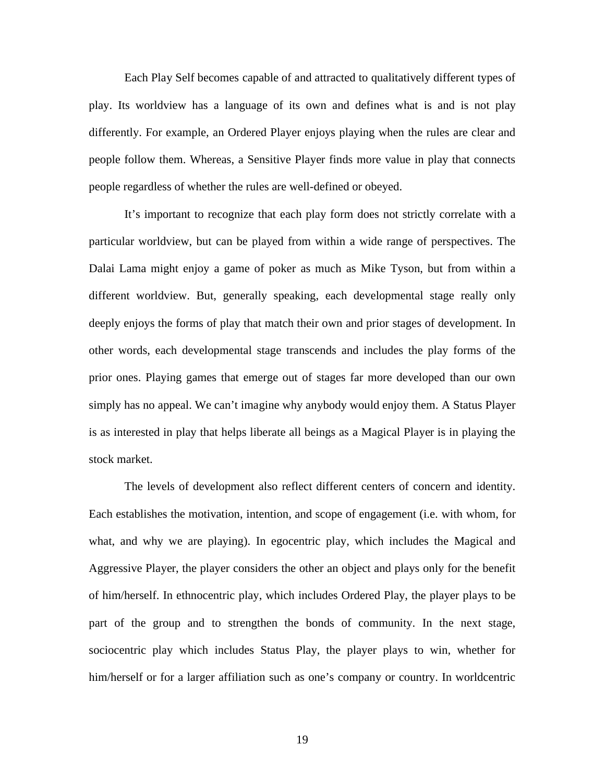Each Play Self becomes capable of and attracted to qualitatively different types of play. Its worldview has a language of its own and defines what is and is not play differently. For example, an Ordered Player enjoys playing when the rules are clear and people follow them. Whereas, a Sensitive Player finds more value in play that connects people regardless of whether the rules are well-defined or obeyed.

It's important to recognize that each play form does not strictly correlate with a particular worldview, but can be played from within a wide range of perspectives. The Dalai Lama might enjoy a game of poker as much as Mike Tyson, but from within a different worldview. But, generally speaking, each developmental stage really only deeply enjoys the forms of play that match their own and prior stages of development. In other words, each developmental stage transcends and includes the play forms of the prior ones. Playing games that emerge out of stages far more developed than our own simply has no appeal. We can't imagine why anybody would enjoy them. A Status Player is as interested in play that helps liberate all beings as a Magical Player is in playing the stock market.

The levels of development also reflect different centers of concern and identity. Each establishes the motivation, intention, and scope of engagement (i.e. with whom, for what, and why we are playing). In egocentric play, which includes the Magical and Aggressive Player, the player considers the other an object and plays only for the benefit of him/herself. In ethnocentric play, which includes Ordered Play, the player plays to be part of the group and to strengthen the bonds of community. In the next stage, sociocentric play which includes Status Play, the player plays to win, whether for him/herself or for a larger affiliation such as one's company or country. In worldcentric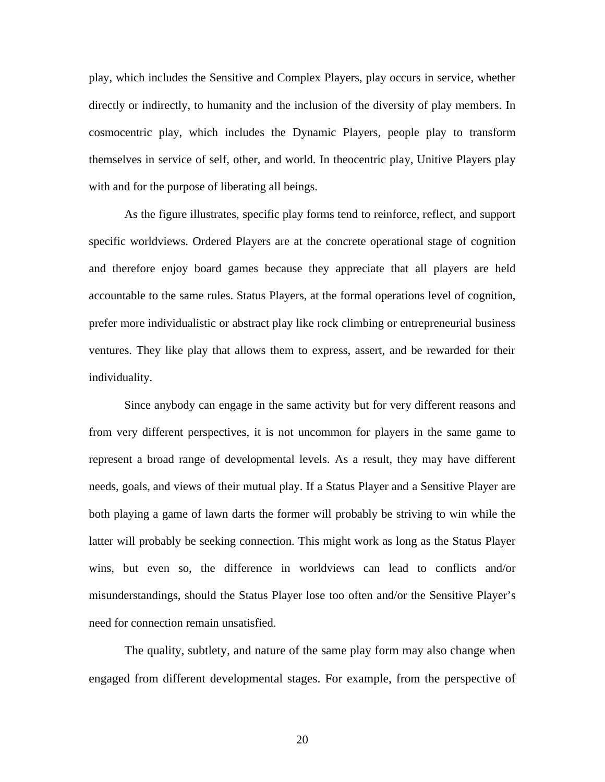play, which includes the Sensitive and Complex Players, play occurs in service, whether directly or indirectly, to humanity and the inclusion of the diversity of play members. In cosmocentric play, which includes the Dynamic Players, people play to transform themselves in service of self, other, and world. In theocentric play, Unitive Players play with and for the purpose of liberating all beings.

As the figure illustrates, specific play forms tend to reinforce, reflect, and support specific worldviews. Ordered Players are at the concrete operational stage of cognition and therefore enjoy board games because they appreciate that all players are held accountable to the same rules. Status Players, at the formal operations level of cognition, prefer more individualistic or abstract play like rock climbing or entrepreneurial business ventures. They like play that allows them to express, assert, and be rewarded for their individuality.

Since anybody can engage in the same activity but for very different reasons and from very different perspectives, it is not uncommon for players in the same game to represent a broad range of developmental levels. As a result, they may have different needs, goals, and views of their mutual play. If a Status Player and a Sensitive Player are both playing a game of lawn darts the former will probably be striving to win while the latter will probably be seeking connection. This might work as long as the Status Player wins, but even so, the difference in worldviews can lead to conflicts and/or misunderstandings, should the Status Player lose too often and/or the Sensitive Player's need for connection remain unsatisfied.

The quality, subtlety, and nature of the same play form may also change when engaged from different developmental stages. For example, from the perspective of

20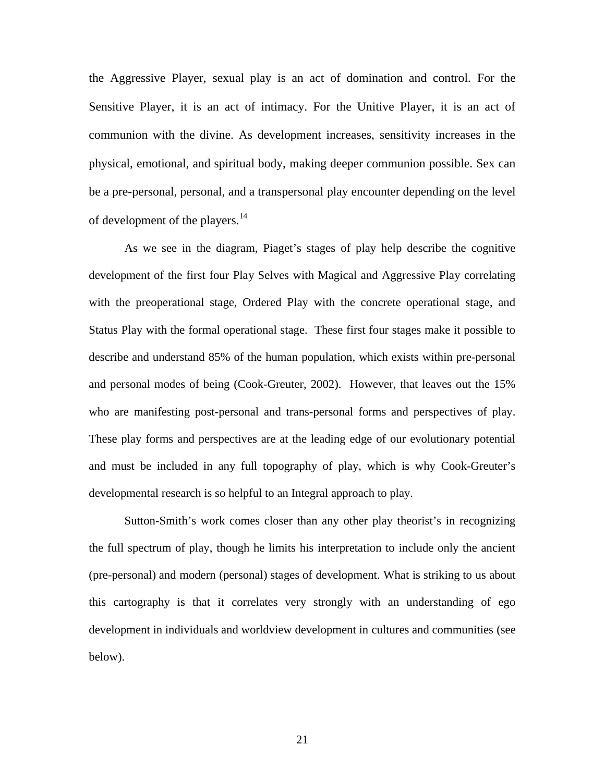the Aggressive Player, sexual play is an act of domination and control. For the Sensitive Player, it is an act of intimacy. For the Unitive Player, it is an act of communion with the divine. As development increases, sensitivity increases in the physical, emotional, and spiritual body, making deeper communion possible. Sex can be a pre-personal, personal, and a transpersonal play encounter depending on the level of development of the players.<sup>14</sup>

As we see in the diagram, Piaget's stages of play help describe the cognitive development of the first four Play Selves with Magical and Aggressive Play correlating with the preoperational stage, Ordered Play with the concrete operational stage, and Status Play with the formal operational stage. These first four stages make it possible to describe and understand 85% of the human population, which exists within pre-personal and personal modes of being (Cook-Greuter, 2002). However, that leaves out the 15% who are manifesting post-personal and trans-personal forms and perspectives of play. These play forms and perspectives are at the leading edge of our evolutionary potential and must be included in any full topography of play, which is why Cook-Greuter's developmental research is so helpful to an Integral approach to play.

Sutton-Smith's work comes closer than any other play theorist's in recognizing the full spectrum of play, though he limits his interpretation to include only the ancient (pre-personal) and modern (personal) stages of development. What is striking to us about this cartography is that it correlates very strongly with an understanding of ego development in individuals and worldview development in cultures and communities (see below).

21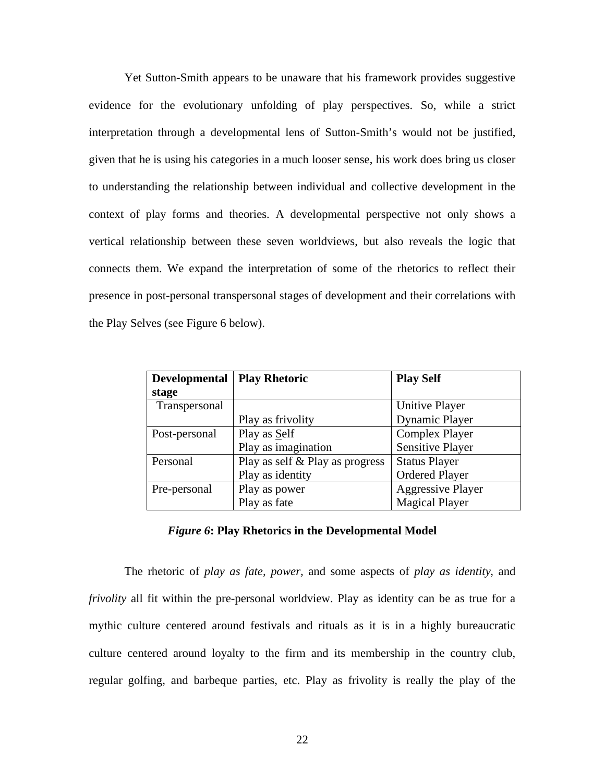Yet Sutton-Smith appears to be unaware that his framework provides suggestive evidence for the evolutionary unfolding of play perspectives. So, while a strict interpretation through a developmental lens of Sutton-Smith's would not be justified, given that he is using his categories in a much looser sense, his work does bring us closer to understanding the relationship between individual and collective development in the context of play forms and theories. A developmental perspective not only shows a vertical relationship between these seven worldviews, but also reveals the logic that connects them. We expand the interpretation of some of the rhetorics to reflect their presence in post-personal transpersonal stages of development and their correlations with the Play Selves (see Figure 6 below).

| <b>Developmental</b> | <b>Play Rhetoric</b>            | <b>Play Self</b>         |
|----------------------|---------------------------------|--------------------------|
| stage                |                                 |                          |
| Transpersonal        |                                 | Unitive Player           |
|                      | Play as frivolity               | <b>Dynamic Player</b>    |
| Post-personal        | Play as Self                    | <b>Complex Player</b>    |
|                      | Play as imagination             | <b>Sensitive Player</b>  |
| Personal             | Play as self & Play as progress | <b>Status Player</b>     |
|                      | Play as identity                | <b>Ordered Player</b>    |
| Pre-personal         | Play as power                   | <b>Aggressive Player</b> |
|                      | Play as fate                    | <b>Magical Player</b>    |

#### *Figure 6***: Play Rhetorics in the Developmental Model**

The rhetoric of *play as fate, power,* and some aspects of *play as identity*, and *frivolity* all fit within the pre-personal worldview. Play as identity can be as true for a mythic culture centered around festivals and rituals as it is in a highly bureaucratic culture centered around loyalty to the firm and its membership in the country club, regular golfing, and barbeque parties, etc. Play as frivolity is really the play of the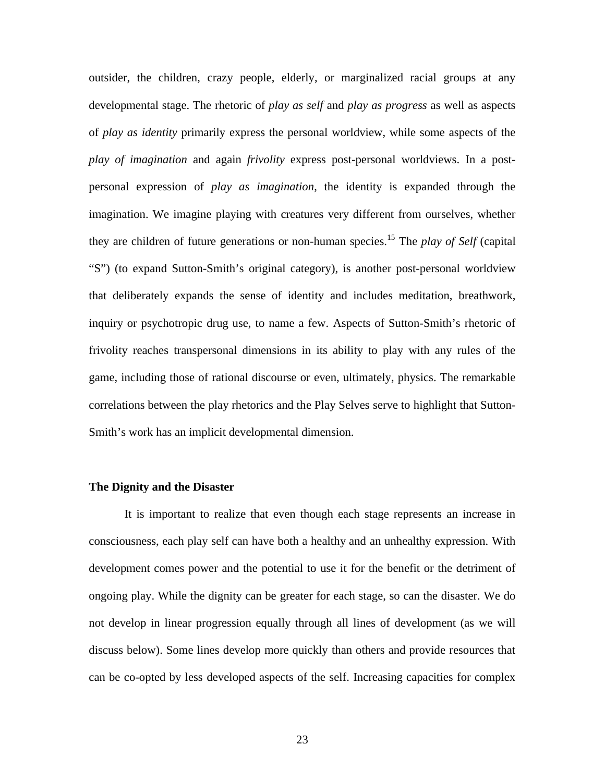outsider, the children, crazy people, elderly, or marginalized racial groups at any developmental stage. The rhetoric of *play as self* and *play as progress* as well as aspects of *play as identity* primarily express the personal worldview, while some aspects of the *play of imagination* and again *frivolity* express post-personal worldviews. In a postpersonal expression of *play as imagination*, the identity is expanded through the imagination. We imagine playing with creatures very different from ourselves, whether they are children of future generations or non-human species.15 The *play of Self* (capital "S") (to expand Sutton-Smith's original category), is another post-personal worldview that deliberately expands the sense of identity and includes meditation, breathwork, inquiry or psychotropic drug use, to name a few. Aspects of Sutton-Smith's rhetoric of frivolity reaches transpersonal dimensions in its ability to play with any rules of the game, including those of rational discourse or even, ultimately, physics. The remarkable correlations between the play rhetorics and the Play Selves serve to highlight that Sutton-Smith's work has an implicit developmental dimension.

### **The Dignity and the Disaster**

It is important to realize that even though each stage represents an increase in consciousness, each play self can have both a healthy and an unhealthy expression. With development comes power and the potential to use it for the benefit or the detriment of ongoing play. While the dignity can be greater for each stage, so can the disaster. We do not develop in linear progression equally through all lines of development (as we will discuss below). Some lines develop more quickly than others and provide resources that can be co-opted by less developed aspects of the self. Increasing capacities for complex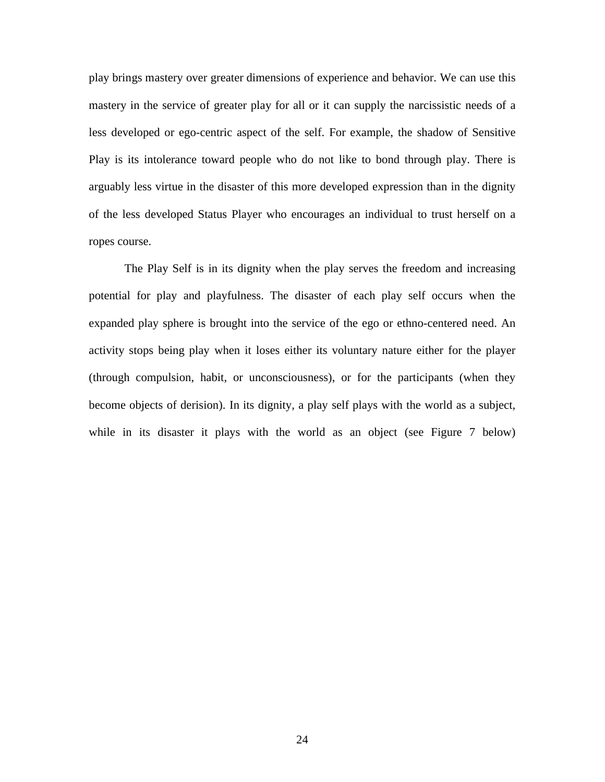play brings mastery over greater dimensions of experience and behavior. We can use this mastery in the service of greater play for all or it can supply the narcissistic needs of a less developed or ego-centric aspect of the self. For example, the shadow of Sensitive Play is its intolerance toward people who do not like to bond through play. There is arguably less virtue in the disaster of this more developed expression than in the dignity of the less developed Status Player who encourages an individual to trust herself on a ropes course.

The Play Self is in its dignity when the play serves the freedom and increasing potential for play and playfulness. The disaster of each play self occurs when the expanded play sphere is brought into the service of the ego or ethno-centered need. An activity stops being play when it loses either its voluntary nature either for the player (through compulsion, habit, or unconsciousness), or for the participants (when they become objects of derision). In its dignity, a play self plays with the world as a subject, while in its disaster it plays with the world as an object (see Figure 7 below)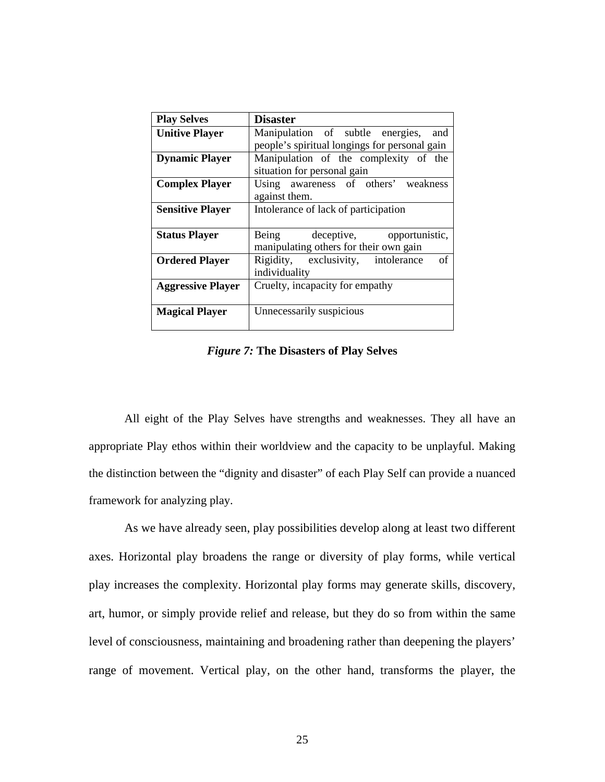| <b>Play Selves</b>       | <b>Disaster</b>                               |  |
|--------------------------|-----------------------------------------------|--|
| <b>Unitive Player</b>    | Manipulation of subtle energies, and          |  |
|                          | people's spiritual longings for personal gain |  |
| <b>Dynamic Player</b>    | Manipulation of the complexity of the         |  |
|                          | situation for personal gain                   |  |
| <b>Complex Player</b>    | Using awareness of others' weakness           |  |
|                          | against them.                                 |  |
| <b>Sensitive Player</b>  | Intolerance of lack of participation          |  |
|                          |                                               |  |
| <b>Status Player</b>     | Being deceptive, opportunistic,               |  |
|                          | manipulating others for their own gain        |  |
| <b>Ordered Player</b>    | Rigidity, exclusivity, intolerance<br>of      |  |
|                          | individuality                                 |  |
| <b>Aggressive Player</b> | Cruelty, incapacity for empathy               |  |
|                          |                                               |  |
| <b>Magical Player</b>    | Unnecessarily suspicious                      |  |
|                          |                                               |  |

*Figure 7:* **The Disasters of Play Selves**

All eight of the Play Selves have strengths and weaknesses. They all have an appropriate Play ethos within their worldview and the capacity to be unplayful. Making the distinction between the "dignity and disaster" of each Play Self can provide a nuanced framework for analyzing play.

As we have already seen, play possibilities develop along at least two different axes. Horizontal play broadens the range or diversity of play forms, while vertical play increases the complexity. Horizontal play forms may generate skills, discovery, art, humor, or simply provide relief and release, but they do so from within the same level of consciousness, maintaining and broadening rather than deepening the players' range of movement. Vertical play, on the other hand, transforms the player, the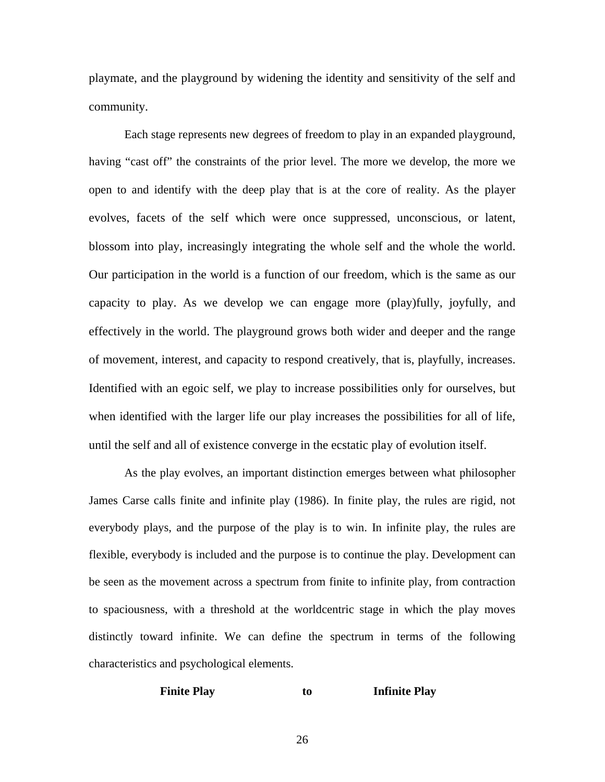playmate, and the playground by widening the identity and sensitivity of the self and community.

Each stage represents new degrees of freedom to play in an expanded playground, having "cast off" the constraints of the prior level. The more we develop, the more we open to and identify with the deep play that is at the core of reality. As the player evolves, facets of the self which were once suppressed, unconscious, or latent, blossom into play, increasingly integrating the whole self and the whole the world. Our participation in the world is a function of our freedom, which is the same as our capacity to play. As we develop we can engage more (play)fully, joyfully, and effectively in the world. The playground grows both wider and deeper and the range of movement, interest, and capacity to respond creatively, that is, playfully, increases. Identified with an egoic self, we play to increase possibilities only for ourselves, but when identified with the larger life our play increases the possibilities for all of life, until the self and all of existence converge in the ecstatic play of evolution itself.

As the play evolves, an important distinction emerges between what philosopher James Carse calls finite and infinite play (1986). In finite play, the rules are rigid, not everybody plays, and the purpose of the play is to win. In infinite play, the rules are flexible, everybody is included and the purpose is to continue the play. Development can be seen as the movement across a spectrum from finite to infinite play, from contraction to spaciousness, with a threshold at the worldcentric stage in which the play moves distinctly toward infinite. We can define the spectrum in terms of the following characteristics and psychological elements.

### **Finite Play to Infinite Play**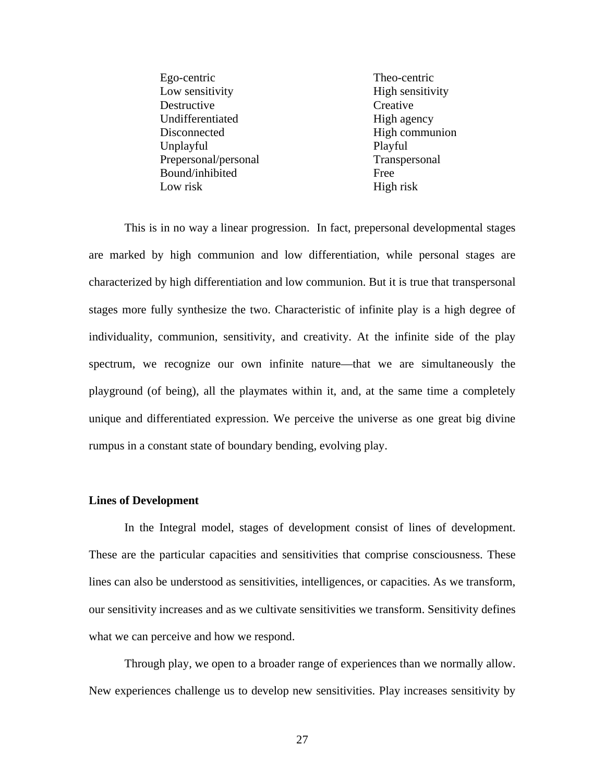Ego-centric Theo-centric Low sensitivity High sensitivity Destructive Creative Undifferentiated High agency Disconnected High communion Unplayful Playful Prepersonal/personal Transpersonal Bound/inhibited Free Low risk High risk

This is in no way a linear progression. In fact, prepersonal developmental stages are marked by high communion and low differentiation, while personal stages are characterized by high differentiation and low communion. But it is true that transpersonal stages more fully synthesize the two. Characteristic of infinite play is a high degree of individuality, communion, sensitivity, and creativity. At the infinite side of the play spectrum, we recognize our own infinite nature—that we are simultaneously the playground (of being), all the playmates within it, and, at the same time a completely unique and differentiated expression. We perceive the universe as one great big divine rumpus in a constant state of boundary bending, evolving play.

#### **Lines of Development**

In the Integral model, stages of development consist of lines of development. These are the particular capacities and sensitivities that comprise consciousness. These lines can also be understood as sensitivities, intelligences, or capacities. As we transform, our sensitivity increases and as we cultivate sensitivities we transform. Sensitivity defines what we can perceive and how we respond.

Through play, we open to a broader range of experiences than we normally allow. New experiences challenge us to develop new sensitivities. Play increases sensitivity by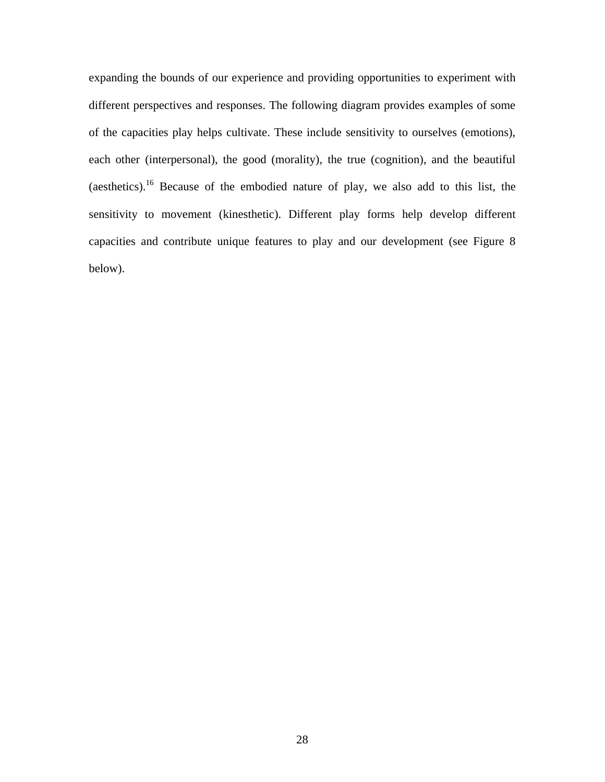expanding the bounds of our experience and providing opportunities to experiment with different perspectives and responses. The following diagram provides examples of some of the capacities play helps cultivate. These include sensitivity to ourselves (emotions), each other (interpersonal), the good (morality), the true (cognition), and the beautiful (aesthetics).16 Because of the embodied nature of play, we also add to this list, the sensitivity to movement (kinesthetic). Different play forms help develop different capacities and contribute unique features to play and our development (see Figure 8 below).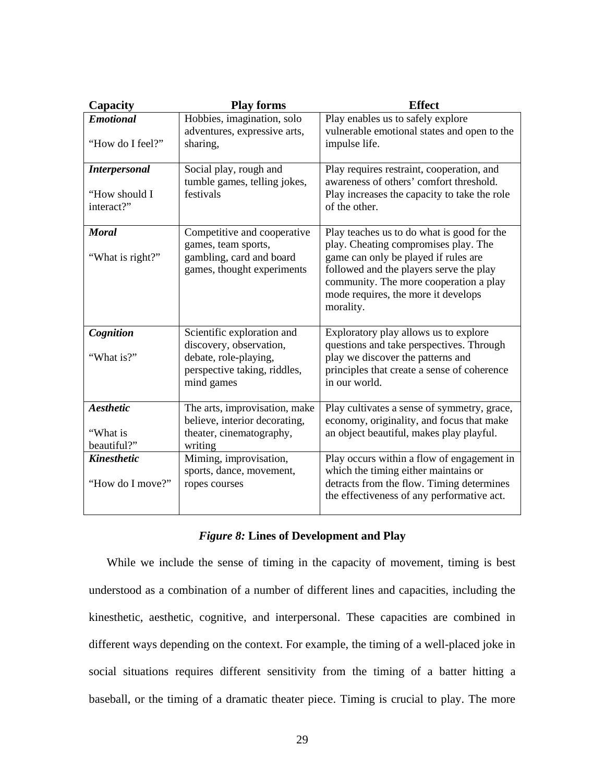| Capacity                                            | <b>Play forms</b>                                                                                                            | <b>Effect</b>                                                                                                                                                                                                                                                       |
|-----------------------------------------------------|------------------------------------------------------------------------------------------------------------------------------|---------------------------------------------------------------------------------------------------------------------------------------------------------------------------------------------------------------------------------------------------------------------|
| <b>Emotional</b><br>"How do I feel?"                | Hobbies, imagination, solo<br>adventures, expressive arts,<br>sharing,                                                       | Play enables us to safely explore<br>vulnerable emotional states and open to the<br>impulse life.                                                                                                                                                                   |
| <b>Interpersonal</b><br>"How should I<br>interact?" | Social play, rough and<br>tumble games, telling jokes,<br>festivals                                                          | Play requires restraint, cooperation, and<br>awareness of others' comfort threshold.<br>Play increases the capacity to take the role<br>of the other.                                                                                                               |
| <b>Moral</b><br>"What is right?"                    | Competitive and cooperative<br>games, team sports,<br>gambling, card and board<br>games, thought experiments                 | Play teaches us to do what is good for the<br>play. Cheating compromises play. The<br>game can only be played if rules are<br>followed and the players serve the play<br>community. The more cooperation a play<br>mode requires, the more it develops<br>morality. |
| Cognition<br>"What is?"                             | Scientific exploration and<br>discovery, observation,<br>debate, role-playing,<br>perspective taking, riddles,<br>mind games | Exploratory play allows us to explore<br>questions and take perspectives. Through<br>play we discover the patterns and<br>principles that create a sense of coherence<br>in our world.                                                                              |
| Aesthetic<br>"What is<br>beautiful?"                | The arts, improvisation, make<br>believe, interior decorating,<br>theater, cinematography,<br>writing                        | Play cultivates a sense of symmetry, grace,<br>economy, originality, and focus that make<br>an object beautiful, makes play playful.                                                                                                                                |
| <b>Kinesthetic</b><br>"How do I move?"              | Miming, improvisation,<br>sports, dance, movement,<br>ropes courses                                                          | Play occurs within a flow of engagement in<br>which the timing either maintains or<br>detracts from the flow. Timing determines<br>the effectiveness of any performative act.                                                                                       |

### *Figure 8:* **Lines of Development and Play**

While we include the sense of timing in the capacity of movement, timing is best understood as a combination of a number of different lines and capacities, including the kinesthetic, aesthetic, cognitive, and interpersonal. These capacities are combined in different ways depending on the context. For example, the timing of a well-placed joke in social situations requires different sensitivity from the timing of a batter hitting a baseball, or the timing of a dramatic theater piece. Timing is crucial to play. The more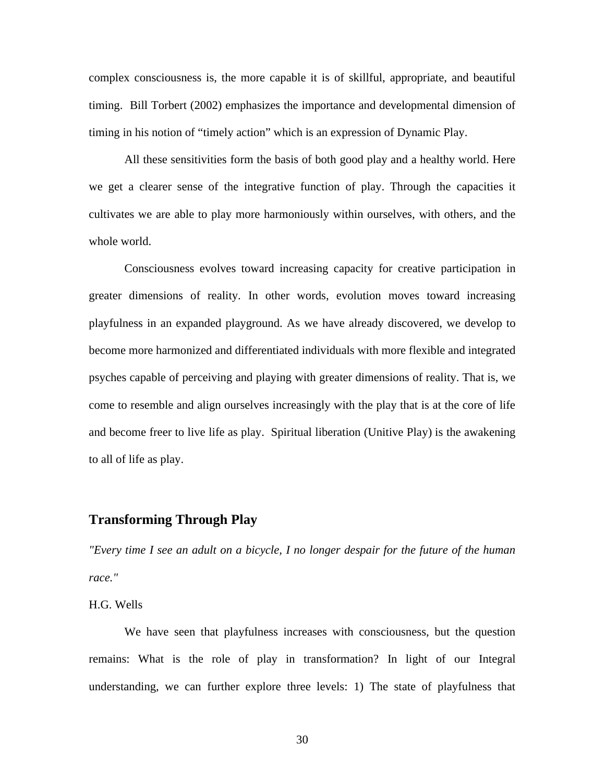complex consciousness is, the more capable it is of skillful, appropriate, and beautiful timing. Bill Torbert (2002) emphasizes the importance and developmental dimension of timing in his notion of "timely action" which is an expression of Dynamic Play.

All these sensitivities form the basis of both good play and a healthy world. Here we get a clearer sense of the integrative function of play. Through the capacities it cultivates we are able to play more harmoniously within ourselves, with others, and the whole world.

Consciousness evolves toward increasing capacity for creative participation in greater dimensions of reality. In other words, evolution moves toward increasing playfulness in an expanded playground. As we have already discovered, we develop to become more harmonized and differentiated individuals with more flexible and integrated psyches capable of perceiving and playing with greater dimensions of reality. That is, we come to resemble and align ourselves increasingly with the play that is at the core of life and become freer to live life as play. Spiritual liberation (Unitive Play) is the awakening to all of life as play.

# **Transforming Through Play**

*"Every time I see an adult on a bicycle, I no longer despair for the future of the human race."* 

H.G. Wells

We have seen that playfulness increases with consciousness, but the question remains: What is the role of play in transformation? In light of our Integral understanding, we can further explore three levels: 1) The state of playfulness that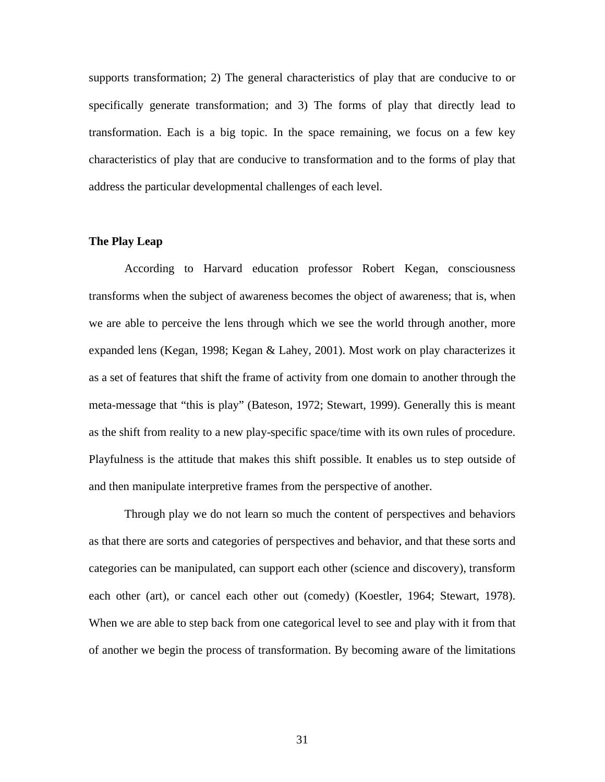supports transformation; 2) The general characteristics of play that are conducive to or specifically generate transformation; and 3) The forms of play that directly lead to transformation. Each is a big topic. In the space remaining, we focus on a few key characteristics of play that are conducive to transformation and to the forms of play that address the particular developmental challenges of each level.

#### **The Play Leap**

According to Harvard education professor Robert Kegan, consciousness transforms when the subject of awareness becomes the object of awareness; that is, when we are able to perceive the lens through which we see the world through another, more expanded lens (Kegan, 1998; Kegan & Lahey, 2001). Most work on play characterizes it as a set of features that shift the frame of activity from one domain to another through the meta-message that "this is play" (Bateson, 1972; Stewart, 1999). Generally this is meant as the shift from reality to a new play-specific space/time with its own rules of procedure. Playfulness is the attitude that makes this shift possible. It enables us to step outside of and then manipulate interpretive frames from the perspective of another.

Through play we do not learn so much the content of perspectives and behaviors as that there are sorts and categories of perspectives and behavior, and that these sorts and categories can be manipulated, can support each other (science and discovery), transform each other (art), or cancel each other out (comedy) (Koestler, 1964; Stewart, 1978). When we are able to step back from one categorical level to see and play with it from that of another we begin the process of transformation. By becoming aware of the limitations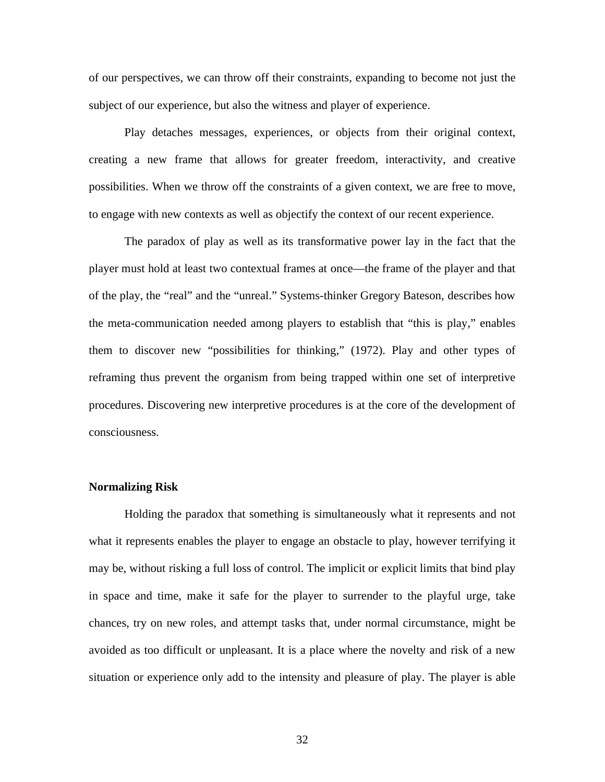of our perspectives, we can throw off their constraints, expanding to become not just the subject of our experience, but also the witness and player of experience.

Play detaches messages, experiences, or objects from their original context, creating a new frame that allows for greater freedom, interactivity, and creative possibilities. When we throw off the constraints of a given context, we are free to move, to engage with new contexts as well as objectify the context of our recent experience.

The paradox of play as well as its transformative power lay in the fact that the player must hold at least two contextual frames at once—the frame of the player and that of the play, the "real" and the "unreal." Systems-thinker Gregory Bateson, describes how the meta-communication needed among players to establish that "this is play," enables them to discover new "possibilities for thinking," (1972). Play and other types of reframing thus prevent the organism from being trapped within one set of interpretive procedures. Discovering new interpretive procedures is at the core of the development of consciousness.

### **Normalizing Risk**

Holding the paradox that something is simultaneously what it represents and not what it represents enables the player to engage an obstacle to play, however terrifying it may be, without risking a full loss of control. The implicit or explicit limits that bind play in space and time, make it safe for the player to surrender to the playful urge, take chances, try on new roles, and attempt tasks that, under normal circumstance, might be avoided as too difficult or unpleasant. It is a place where the novelty and risk of a new situation or experience only add to the intensity and pleasure of play. The player is able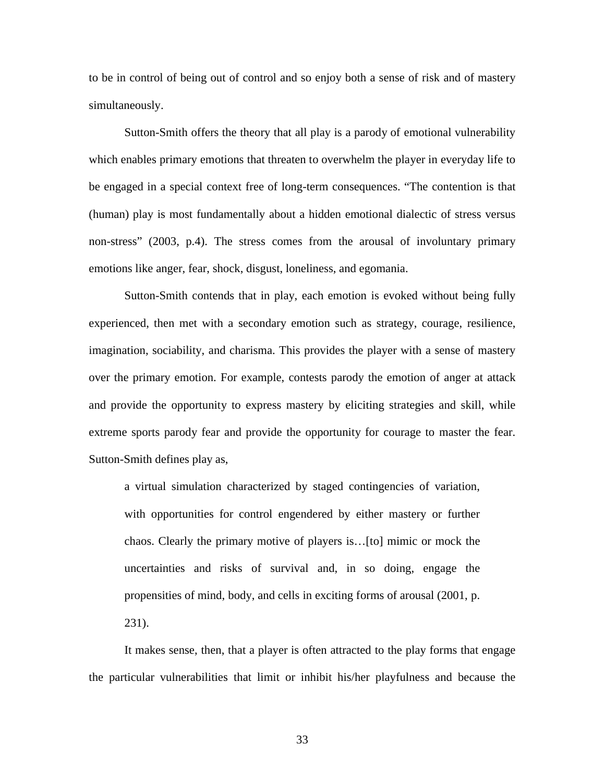to be in control of being out of control and so enjoy both a sense of risk and of mastery simultaneously.

Sutton-Smith offers the theory that all play is a parody of emotional vulnerability which enables primary emotions that threaten to overwhelm the player in everyday life to be engaged in a special context free of long-term consequences. "The contention is that (human) play is most fundamentally about a hidden emotional dialectic of stress versus non-stress" (2003, p.4). The stress comes from the arousal of involuntary primary emotions like anger, fear, shock, disgust, loneliness, and egomania.

Sutton-Smith contends that in play, each emotion is evoked without being fully experienced, then met with a secondary emotion such as strategy, courage, resilience, imagination, sociability, and charisma. This provides the player with a sense of mastery over the primary emotion. For example, contests parody the emotion of anger at attack and provide the opportunity to express mastery by eliciting strategies and skill, while extreme sports parody fear and provide the opportunity for courage to master the fear. Sutton-Smith defines play as,

a virtual simulation characterized by staged contingencies of variation, with opportunities for control engendered by either mastery or further chaos. Clearly the primary motive of players is…[to] mimic or mock the uncertainties and risks of survival and, in so doing, engage the propensities of mind, body, and cells in exciting forms of arousal (2001, p. 231).

It makes sense, then, that a player is often attracted to the play forms that engage the particular vulnerabilities that limit or inhibit his/her playfulness and because the

33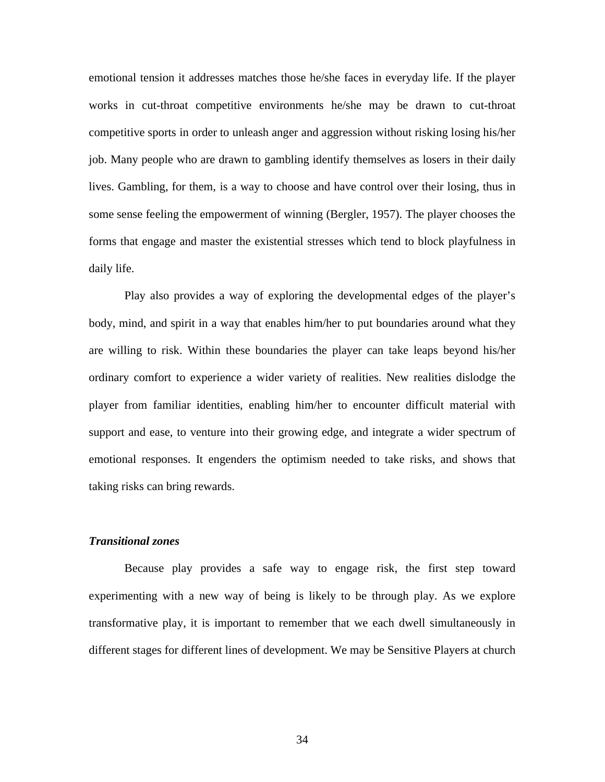emotional tension it addresses matches those he/she faces in everyday life. If the player works in cut-throat competitive environments he/she may be drawn to cut-throat competitive sports in order to unleash anger and aggression without risking losing his/her job. Many people who are drawn to gambling identify themselves as losers in their daily lives. Gambling, for them, is a way to choose and have control over their losing, thus in some sense feeling the empowerment of winning (Bergler, 1957). The player chooses the forms that engage and master the existential stresses which tend to block playfulness in daily life.

Play also provides a way of exploring the developmental edges of the player's body, mind, and spirit in a way that enables him/her to put boundaries around what they are willing to risk. Within these boundaries the player can take leaps beyond his/her ordinary comfort to experience a wider variety of realities. New realities dislodge the player from familiar identities, enabling him/her to encounter difficult material with support and ease, to venture into their growing edge, and integrate a wider spectrum of emotional responses. It engenders the optimism needed to take risks, and shows that taking risks can bring rewards.

#### *Transitional zones*

Because play provides a safe way to engage risk, the first step toward experimenting with a new way of being is likely to be through play. As we explore transformative play, it is important to remember that we each dwell simultaneously in different stages for different lines of development. We may be Sensitive Players at church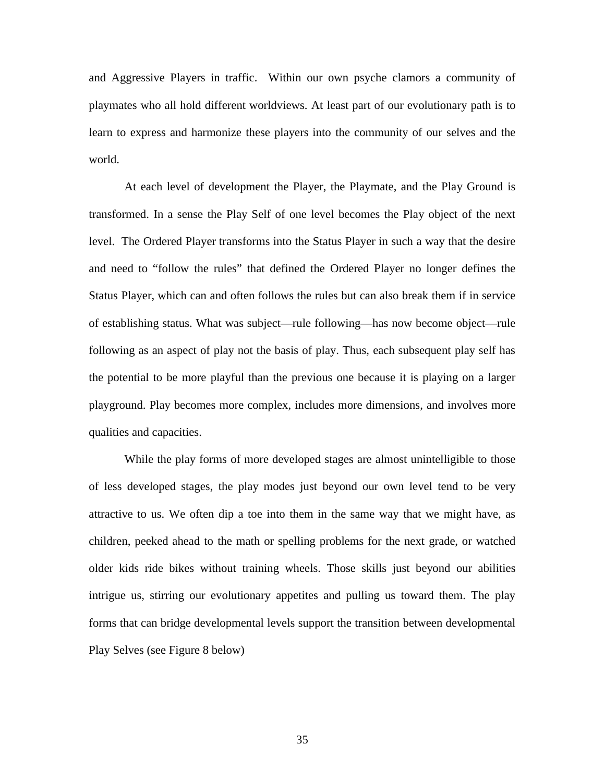and Aggressive Players in traffic. Within our own psyche clamors a community of playmates who all hold different worldviews. At least part of our evolutionary path is to learn to express and harmonize these players into the community of our selves and the world.

At each level of development the Player, the Playmate, and the Play Ground is transformed. In a sense the Play Self of one level becomes the Play object of the next level. The Ordered Player transforms into the Status Player in such a way that the desire and need to "follow the rules" that defined the Ordered Player no longer defines the Status Player, which can and often follows the rules but can also break them if in service of establishing status. What was subject—rule following—has now become object—rule following as an aspect of play not the basis of play. Thus, each subsequent play self has the potential to be more playful than the previous one because it is playing on a larger playground. Play becomes more complex, includes more dimensions, and involves more qualities and capacities.

While the play forms of more developed stages are almost unintelligible to those of less developed stages, the play modes just beyond our own level tend to be very attractive to us. We often dip a toe into them in the same way that we might have, as children, peeked ahead to the math or spelling problems for the next grade, or watched older kids ride bikes without training wheels. Those skills just beyond our abilities intrigue us, stirring our evolutionary appetites and pulling us toward them. The play forms that can bridge developmental levels support the transition between developmental Play Selves (see Figure 8 below)

35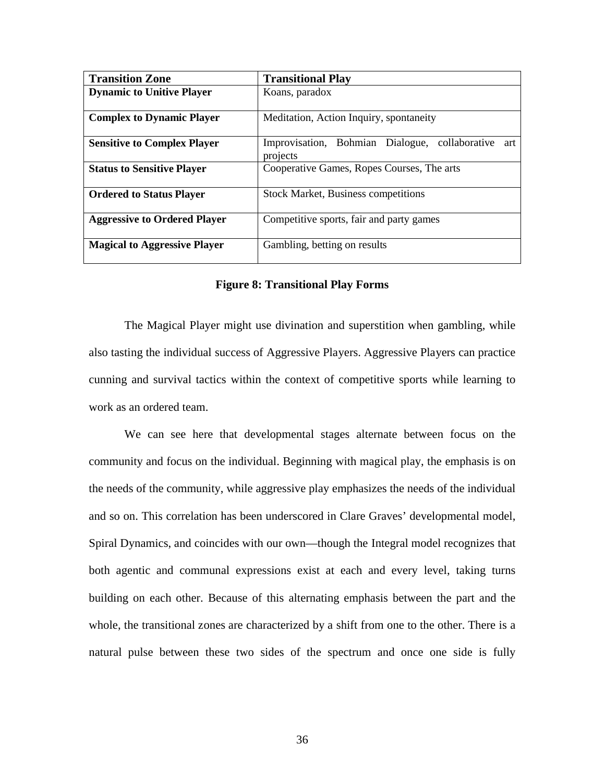| <b>Transition Zone</b>              | <b>Transitional Play</b>                                          |
|-------------------------------------|-------------------------------------------------------------------|
| <b>Dynamic to Unitive Player</b>    | Koans, paradox                                                    |
| <b>Complex to Dynamic Player</b>    | Meditation, Action Inquiry, spontaneity                           |
| <b>Sensitive to Complex Player</b>  | Improvisation, Bohmian Dialogue, collaborative<br>art<br>projects |
| <b>Status to Sensitive Player</b>   | Cooperative Games, Ropes Courses, The arts                        |
| <b>Ordered to Status Player</b>     | <b>Stock Market, Business competitions</b>                        |
| <b>Aggressive to Ordered Player</b> | Competitive sports, fair and party games                          |
| <b>Magical to Aggressive Player</b> | Gambling, betting on results                                      |

#### **Figure 8: Transitional Play Forms**

The Magical Player might use divination and superstition when gambling, while also tasting the individual success of Aggressive Players. Aggressive Players can practice cunning and survival tactics within the context of competitive sports while learning to work as an ordered team.

We can see here that developmental stages alternate between focus on the community and focus on the individual. Beginning with magical play, the emphasis is on the needs of the community, while aggressive play emphasizes the needs of the individual and so on. This correlation has been underscored in Clare Graves' developmental model, Spiral Dynamics, and coincides with our own—though the Integral model recognizes that both agentic and communal expressions exist at each and every level, taking turns building on each other. Because of this alternating emphasis between the part and the whole, the transitional zones are characterized by a shift from one to the other. There is a natural pulse between these two sides of the spectrum and once one side is fully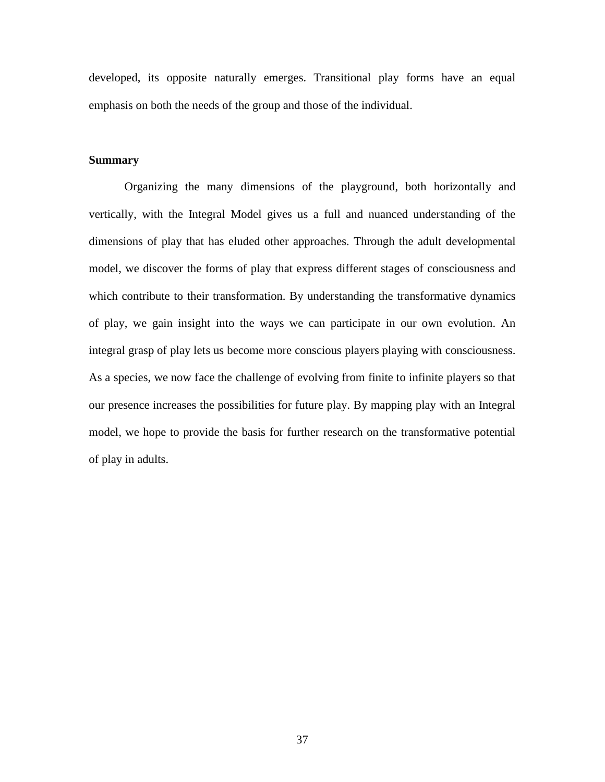developed, its opposite naturally emerges. Transitional play forms have an equal emphasis on both the needs of the group and those of the individual.

#### **Summary**

Organizing the many dimensions of the playground, both horizontally and vertically, with the Integral Model gives us a full and nuanced understanding of the dimensions of play that has eluded other approaches. Through the adult developmental model, we discover the forms of play that express different stages of consciousness and which contribute to their transformation. By understanding the transformative dynamics of play, we gain insight into the ways we can participate in our own evolution. An integral grasp of play lets us become more conscious players playing with consciousness. As a species, we now face the challenge of evolving from finite to infinite players so that our presence increases the possibilities for future play. By mapping play with an Integral model, we hope to provide the basis for further research on the transformative potential of play in adults.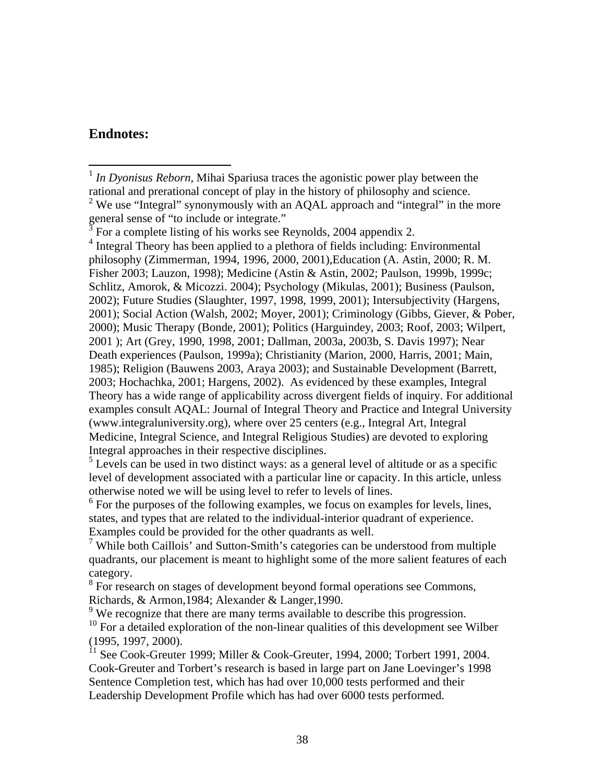# **Endnotes:**

 $3\overline{5}$  For a complete listing of his works see Reynolds, 2004 appendix 2.

<sup>4</sup> Integral Theory has been applied to a plethora of fields including: Environmental philosophy (Zimmerman, 1994, 1996, 2000, 2001),Education (A. Astin, 2000; R. M. Fisher 2003; Lauzon, 1998); Medicine (Astin & Astin, 2002; Paulson, 1999b, 1999c; Schlitz, Amorok, & Micozzi. 2004); Psychology (Mikulas, 2001); Business (Paulson, 2002); Future Studies (Slaughter, 1997, 1998, 1999, 2001); Intersubjectivity (Hargens, 2001); Social Action (Walsh, 2002; Moyer, 2001); Criminology (Gibbs, Giever, & Pober, 2000); Music Therapy (Bonde, 2001); Politics (Harguindey, 2003; Roof, 2003; Wilpert, 2001 ); Art (Grey, 1990, 1998, 2001; Dallman, 2003a, 2003b, S. Davis 1997); Near Death experiences (Paulson, 1999a); Christianity (Marion, 2000, Harris, 2001; Main, 1985); Religion (Bauwens 2003, Araya 2003); and Sustainable Development (Barrett, 2003; Hochachka, 2001; Hargens, 2002). As evidenced by these examples, Integral Theory has a wide range of applicability across divergent fields of inquiry. For additional examples consult AQAL: Journal of Integral Theory and Practice and Integral University (www.integraluniversity.org), where over 25 centers (e.g., Integral Art, Integral Medicine, Integral Science, and Integral Religious Studies) are devoted to exploring Integral approaches in their respective disciplines.

 $<sup>5</sup>$  Levels can be used in two distinct ways: as a general level of altitude or as a specific</sup> level of development associated with a particular line or capacity. In this article, unless otherwise noted we will be using level to refer to levels of lines.

<sup>6</sup> For the purposes of the following examples, we focus on examples for levels, lines, states, and types that are related to the individual-interior quadrant of experience. Examples could be provided for the other quadrants as well.

<sup>7</sup> While both Caillois' and Sutton-Smith's categories can be understood from multiple quadrants, our placement is meant to highlight some of the more salient features of each category.

<sup>8</sup> For research on stages of development beyond formal operations see Commons, Richards, & Armon,1984; Alexander & Langer,1990.

 $9$  We recognize that there are many terms available to describe this progression.

 $10$  For a detailed exploration of the non-linear qualities of this development see Wilber (1995, 1997, 2000).

 $11$  See Cook-Greuter 1999; Miller & Cook-Greuter, 1994, 2000; Torbert 1991, 2004. Cook-Greuter and Torbert's research is based in large part on Jane Loevinger's 1998 Sentence Completion test, which has had over 10,000 tests performed and their Leadership Development Profile which has had over 6000 tests performed.

 $\overline{a}$ <sup>1</sup> *In Dyonisus Reborn*, Mihai Spariusa traces the agonistic power play between the rational and prerational concept of play in the history of philosophy and science. <sup>2</sup> We use "Integral" synonymously with an AQAL approach and "integral" in the more general sense of "to include or integrate."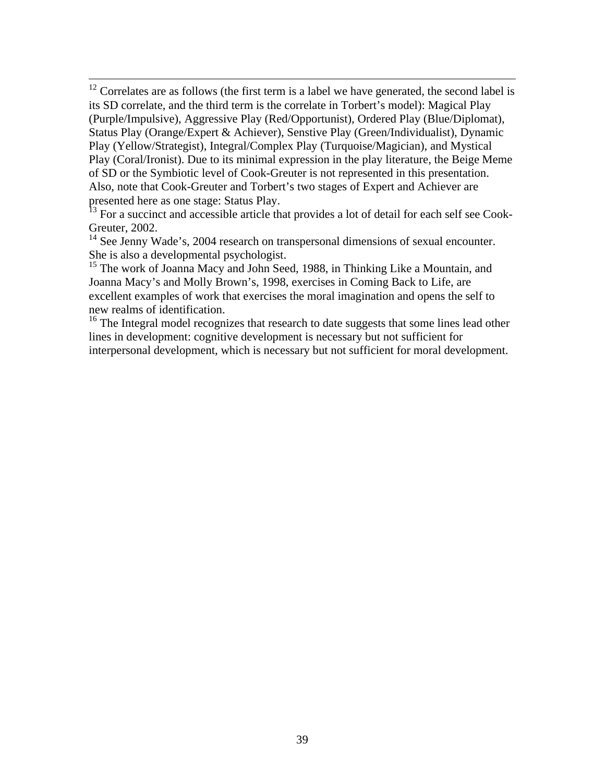$12$  Correlates are as follows (the first term is a label we have generated, the second label is its SD correlate, and the third term is the correlate in Torbert's model): Magical Play (Purple/Impulsive), Aggressive Play (Red/Opportunist), Ordered Play (Blue/Diplomat), Status Play (Orange/Expert & Achiever), Senstive Play (Green/Individualist), Dynamic Play (Yellow/Strategist), Integral/Complex Play (Turquoise/Magician), and Mystical Play (Coral/Ironist). Due to its minimal expression in the play literature, the Beige Meme of SD or the Symbiotic level of Cook-Greuter is not represented in this presentation. Also, note that Cook-Greuter and Torbert's two stages of Expert and Achiever are presented here as one stage: Status Play.

 $\overline{a}$ 

 $\frac{13}{13}$  For a succinct and accessible article that provides a lot of detail for each self see Cook-Greuter, 2002.

 $14$  See Jenny Wade's, 2004 research on transpersonal dimensions of sexual encounter. She is also a developmental psychologist.

<sup>15</sup> The work of Joanna Macy and John Seed, 1988, in Thinking Like a Mountain, and Joanna Macy's and Molly Brown's, 1998, exercises in Coming Back to Life, are excellent examples of work that exercises the moral imagination and opens the self to new realms of identification.

 $16$  The Integral model recognizes that research to date suggests that some lines lead other lines in development: cognitive development is necessary but not sufficient for interpersonal development, which is necessary but not sufficient for moral development.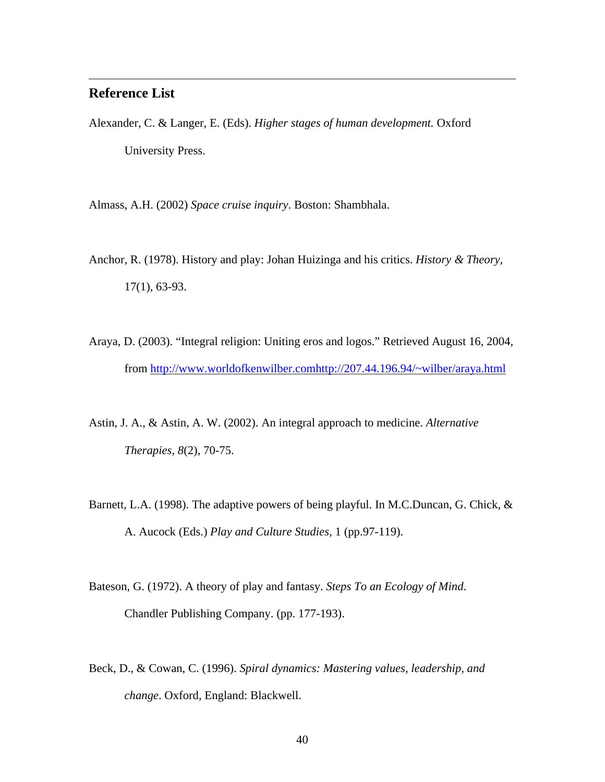# **Reference List**

 $\overline{a}$ 

Alexander, C. & Langer, E. (Eds). *Higher stages of human development.* Oxford University Press.

Almass, A.H. (2002) *Space cruise inquiry*. Boston: Shambhala.

- Anchor, R. (1978). History and play: Johan Huizinga and his critics. *History & Theory*, 17(1), 63-93.
- Araya, D. (2003). "Integral religion: Uniting eros and logos." Retrieved August 16, 2004, from http://www.worldofkenwilber.comhttp://207.44.196.94/~wilber/araya.html
- Astin, J. A., & Astin, A. W. (2002). An integral approach to medicine. *Alternative Therapies, 8*(2), 70-75.
- Barnett, L.A. (1998). The adaptive powers of being playful. In M.C.Duncan, G. Chick, & A. Aucock (Eds.) *Play and Culture Studies*, 1 (pp.97-119).
- Bateson, G. (1972). A theory of play and fantasy. *Steps To an Ecology of Mind*. Chandler Publishing Company. (pp. 177-193).
- Beck, D., & Cowan, C. (1996). *Spiral dynamics: Mastering values, leadership, and change*. Oxford, England: Blackwell.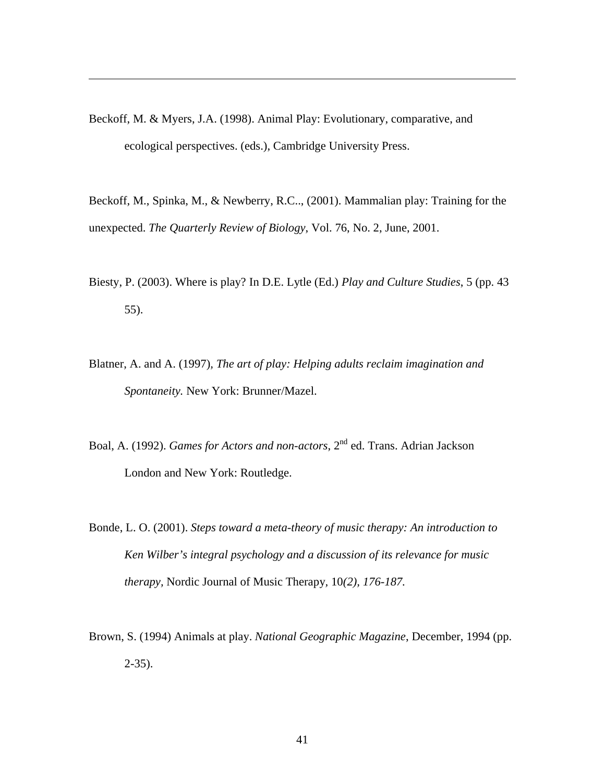Beckoff, M. & Myers, J.A. (1998). Animal Play: Evolutionary, comparative, and ecological perspectives. (eds.), Cambridge University Press.

 $\overline{a}$ 

Beckoff, M., Spinka, M., & Newberry, R.C.., (2001). Mammalian play: Training for the unexpected. *The Quarterly Review of Biology*, Vol. 76, No. 2, June, 2001.

- Biesty, P. (2003). Where is play? In D.E. Lytle (Ed.) *Play and Culture Studies*, 5 (pp. 43 55).
- Blatner, A. and A. (1997)*, The art of play: Helping adults reclaim imagination and Spontaneity.* New York: Brunner/Mazel.
- Boal, A. (1992). *Games for Actors and non-actors*, 2nd ed. Trans. Adrian Jackson London and New York: Routledge.
- Bonde, L. O. (2001). *Steps toward a meta-theory of music therapy: An introduction to Ken Wilber's integral psychology and a discussion of its relevance for music therapy,* Nordic Journal of Music Therapy*,* 10*(2), 176-187.*
- Brown, S. (1994) Animals at play. *National Geographic Magazine*, December, 1994 (pp. 2-35).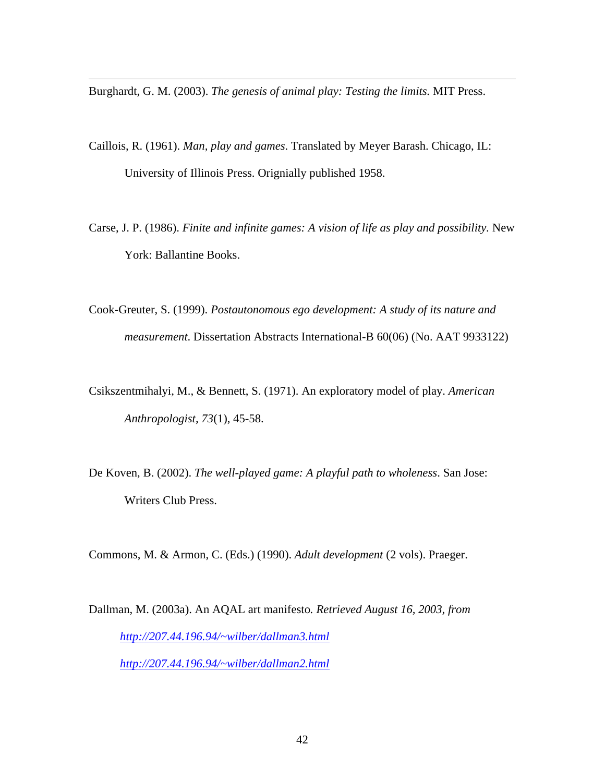Burghardt, G. M. (2003). *The genesis of animal play: Testing the limits.* MIT Press.

 $\overline{a}$ 

- Caillois, R. (1961). *Man, play and games*. Translated by Meyer Barash. Chicago, IL: University of Illinois Press. Orignially published 1958.
- Carse, J. P. (1986). *Finite and infinite games: A vision of life as play and possibility.* New York: Ballantine Books.
- Cook-Greuter, S. (1999). *Postautonomous ego development: A study of its nature and measurement*. Dissertation Abstracts International-B 60(06) (No. AAT 9933122)
- Csikszentmihalyi, M., & Bennett, S. (1971). An exploratory model of play. *American Anthropologist, 73*(1), 45-58.
- De Koven, B. (2002). *The well-played game: A playful path to wholeness*. San Jose: Writers Club Press.

Commons, M. & Armon, C. (Eds.) (1990). *Adult development* (2 vols). Praeger.

Dallman, M. (2003a). An AQAL art manifesto*. Retrieved August 16, 2003, from http://207.44.196.94/~wilber/dallman3.html http://207.44.196.94/~wilber/dallman2.html*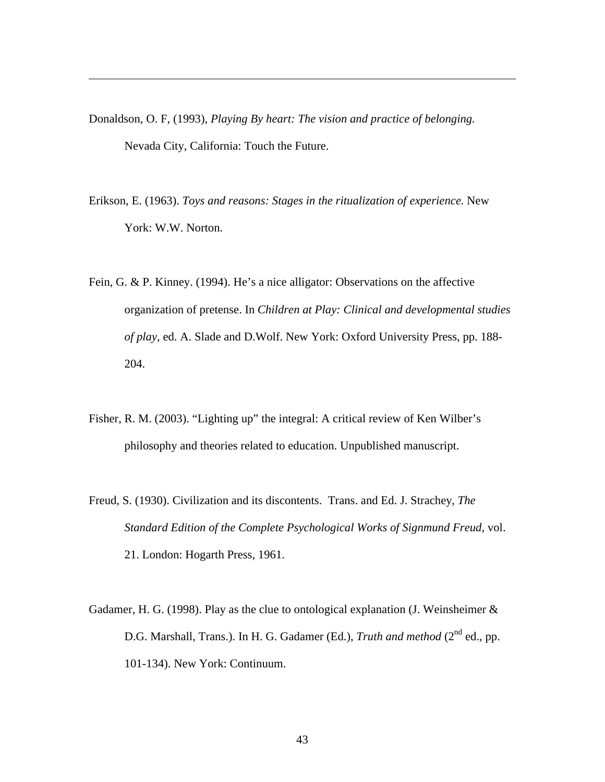Donaldson, O. F, (1993), *Playing By heart: The vision and practice of belonging.* Nevada City, California: Touch the Future.

 $\overline{a}$ 

- Erikson, E. (1963). *Toys and reasons: Stages in the ritualization of experience.* New York: W.W. Norton.
- Fein, G. & P. Kinney. (1994). He's a nice alligator: Observations on the affective organization of pretense. In *Children at Play: Clinical and developmental studies of play*, ed. A. Slade and D.Wolf. New York: Oxford University Press, pp. 188- 204.
- Fisher, R. M. (2003). "Lighting up" the integral: A critical review of Ken Wilber's philosophy and theories related to education. Unpublished manuscript.
- Freud, S. (1930). Civilization and its discontents. Trans. and Ed. J. Strachey, *The Standard Edition of the Complete Psychological Works of Signmund Freud*, vol. 21. London: Hogarth Press, 1961.
- Gadamer, H. G. (1998). Play as the clue to ontological explanation (J. Weinsheimer  $\&$ D.G. Marshall, Trans.). In H. G. Gadamer (Ed.), *Truth and method* (2<sup>nd</sup> ed., pp. 101-134). New York: Continuum.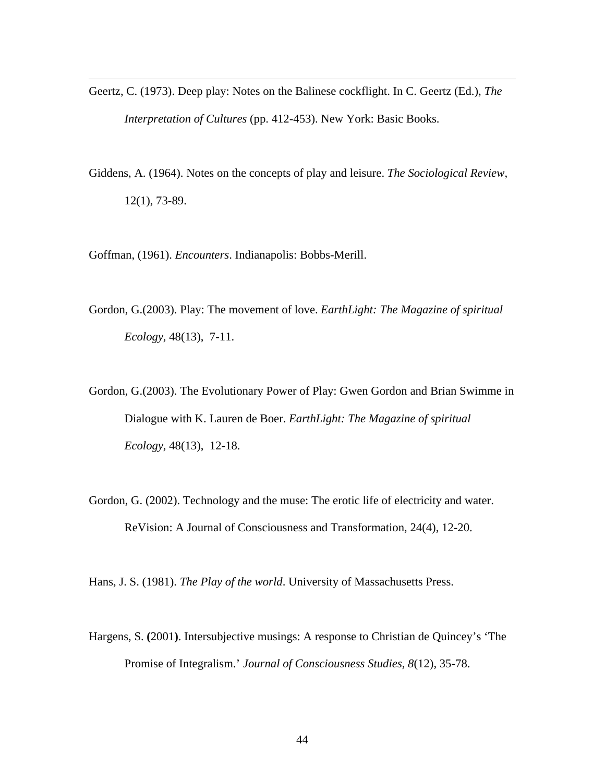- Geertz, C. (1973). Deep play: Notes on the Balinese cockflight. In C. Geertz (Ed.), *The Interpretation of Cultures* (pp. 412-453). New York: Basic Books.
- Giddens, A. (1964). Notes on the concepts of play and leisure. *The Sociological Review*, 12(1), 73-89.

Goffman, (1961). *Encounters*. Indianapolis: Bobbs-Merill.

 $\overline{a}$ 

- Gordon, G.(2003). Play: The movement of love. *EarthLight: The Magazine of spiritual Ecology*, 48(13), 7-11.
- Gordon, G.(2003). The Evolutionary Power of Play: Gwen Gordon and Brian Swimme in Dialogue with K. Lauren de Boer. *EarthLight: The Magazine of spiritual Ecology*, 48(13), 12-18.
- Gordon, G. (2002). Technology and the muse: The erotic life of electricity and water. ReVision: A Journal of Consciousness and Transformation, 24(4), 12-20.

Hans, J. S. (1981). *The Play of the world*. University of Massachusetts Press.

Hargens, S. **(**2001**)**. Intersubjective musings: A response to Christian de Quincey's 'The Promise of Integralism.' *Journal of Consciousness Studies, 8*(12), 35-78.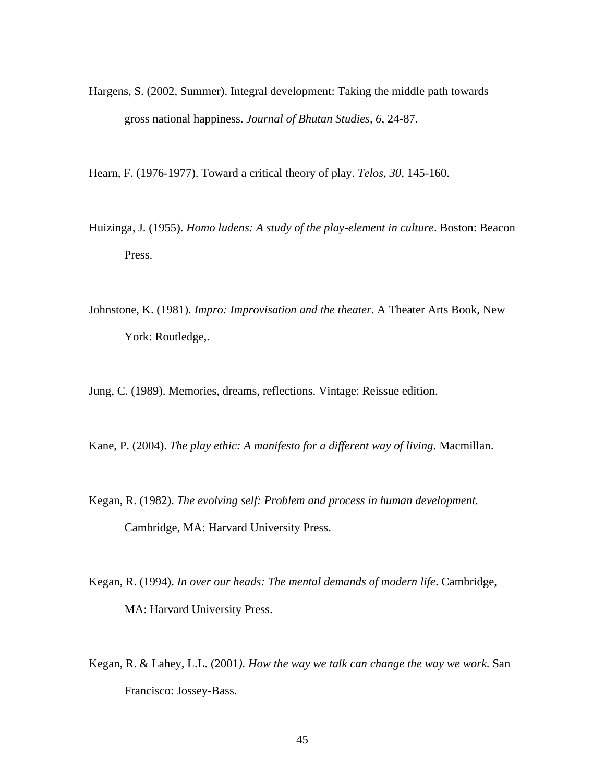Hargens, S. (2002, Summer). Integral development: Taking the middle path towards gross national happiness. *Journal of Bhutan Studies, 6*, 24-87.

Hearn, F. (1976-1977). Toward a critical theory of play. *Telos, 30*, 145-160.

 $\overline{a}$ 

- Huizinga, J. (1955). *Homo ludens: A study of the play-element in culture*. Boston: Beacon Press.
- Johnstone, K. (1981). *Impro: Improvisation and the theater*. A Theater Arts Book, New York: Routledge,.

Jung, C. (1989). Memories, dreams, reflections. Vintage: Reissue edition.

Kane, P. (2004). *The play ethic: A manifesto for a different way of living*. Macmillan.

- Kegan, R. (1982). *The evolving self: Problem and process in human development.* Cambridge, MA: Harvard University Press.
- Kegan, R. (1994). *In over our heads: The mental demands of modern life*. Cambridge, MA: Harvard University Press.
- Kegan, R. & Lahey, L.L. (2001*). How the way we talk can change the way we work*. San Francisco: Jossey-Bass.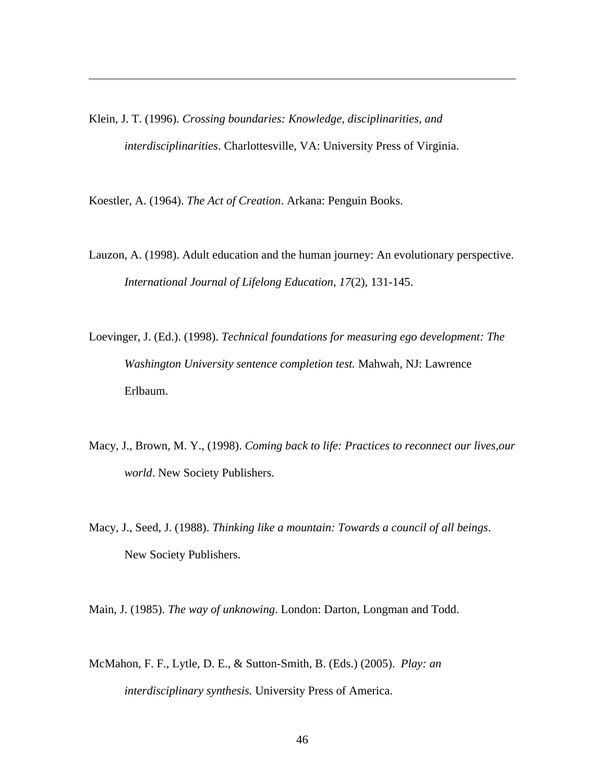Klein, J. T. (1996). *Crossing boundaries: Knowledge, disciplinarities, and interdisciplinarities*. Charlottesville, VA: University Press of Virginia.

Koestler, A. (1964). *The Act of Creation*. Arkana: Penguin Books.

 $\overline{a}$ 

- Lauzon, A. (1998). Adult education and the human journey: An evolutionary perspective. *International Journal of Lifelong Education*, *17*(2), 131-145.
- Loevinger, J. (Ed.). (1998). *Technical foundations for measuring ego development: The Washington University sentence completion test.* Mahwah, NJ: Lawrence Erlbaum.
- Macy, J., Brown, M. Y., (1998). *Coming back to life: Practices to reconnect our lives,our world*. New Society Publishers.
- Macy, J., Seed, J. (1988). *Thinking like a mountain: Towards a council of all beings*. New Society Publishers.

Main, J. (1985). *The way of unknowing*. London: Darton, Longman and Todd.

McMahon, F. F., Lytle, D. E., & Sutton-Smith, B. (Eds.) (2005). *Play: an interdisciplinary synthesis.* University Press of America.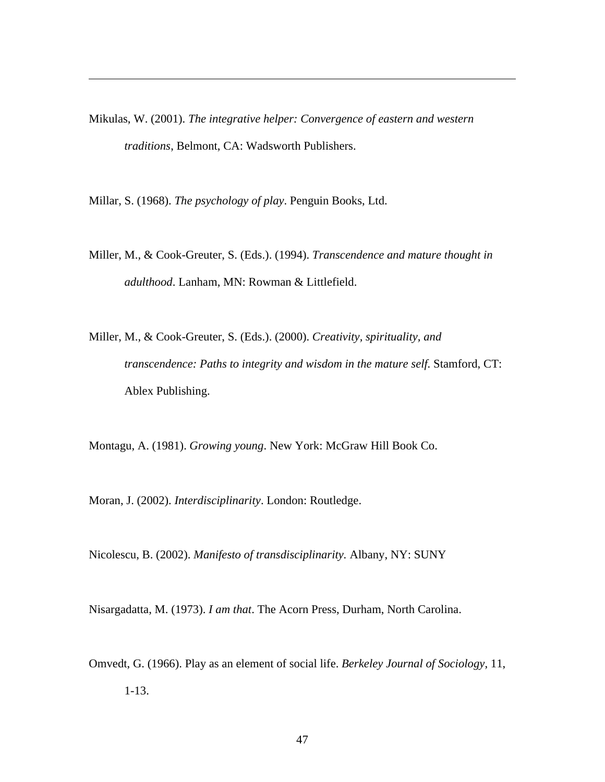Mikulas, W. (2001). *The integrative helper: Convergence of eastern and western traditions*, Belmont, CA: Wadsworth Publishers.

Millar, S. (1968). *The psychology of play*. Penguin Books, Ltd.

 $\overline{a}$ 

- Miller, M., & Cook-Greuter, S. (Eds.). (1994). *Transcendence and mature thought in adulthood*. Lanham, MN: Rowman & Littlefield.
- Miller, M., & Cook-Greuter, S. (Eds.). (2000). *Creativity, spirituality, and transcendence: Paths to integrity and wisdom in the mature self.* Stamford, CT: Ablex Publishing.

Montagu, A. (1981). *Growing young*. New York: McGraw Hill Book Co.

Moran, J. (2002). *Interdisciplinarity*. London: Routledge.

Nicolescu, B. (2002). *Manifesto of transdisciplinarity.* Albany, NY: SUNY

Nisargadatta, M. (1973). *I am that*. The Acorn Press, Durham, North Carolina.

Omvedt, G. (1966). Play as an element of social life. *Berkeley Journal of Sociology*, 11, 1-13.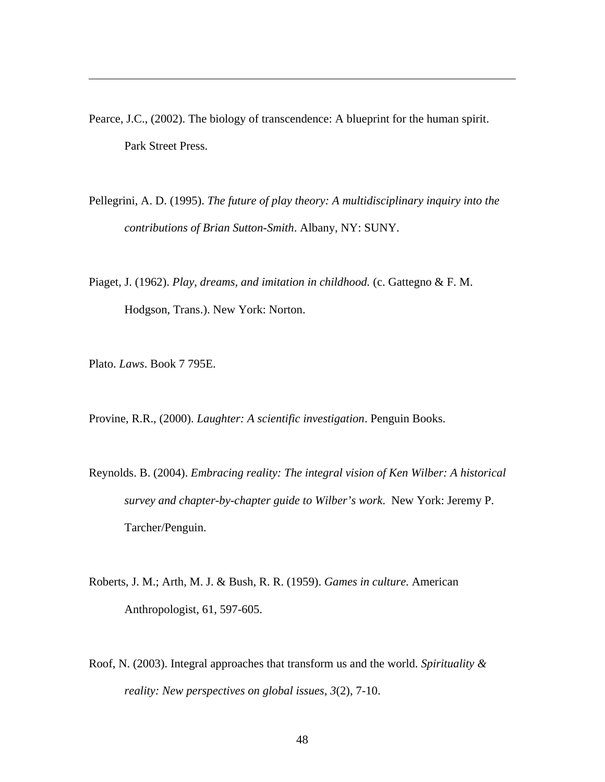- Pearce, J.C., (2002). The biology of transcendence: A blueprint for the human spirit. Park Street Press.
- Pellegrini, A. D. (1995). *The future of play theory: A multidisciplinary inquiry into the contributions of Brian Sutton-Smith*. Albany, NY: SUNY.
- Piaget, J. (1962). *Play, dreams, and imitation in childhood.* (c. Gattegno & F. M. Hodgson, Trans.). New York: Norton.

Plato. *Laws*. Book 7 795E.

 $\overline{a}$ 

Provine, R.R., (2000). *Laughter: A scientific investigation*. Penguin Books.

- Reynolds. B. (2004). *Embracing reality: The integral vision of Ken Wilber: A historical survey and chapter-by-chapter guide to Wilber's work*. New York: Jeremy P. Tarcher/Penguin.
- Roberts, J. M.; Arth, M. J. & Bush, R. R. (1959). *Games in culture*. American Anthropologist, 61, 597-605.
- Roof, N. (2003). Integral approaches that transform us and the world. *Spirituality & reality: New perspectives on global issues*, *3*(2), 7-10.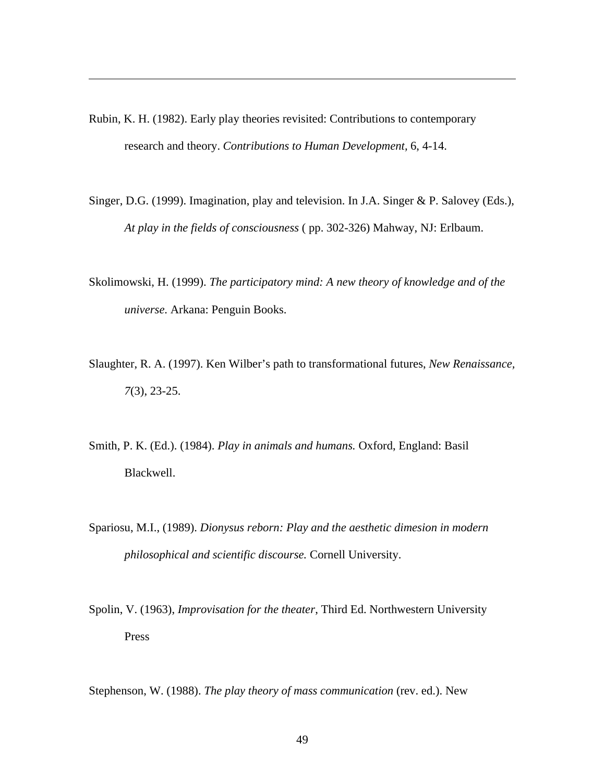Rubin, K. H. (1982). Early play theories revisited: Contributions to contemporary research and theory. *Contributions to Human Development,* 6, 4-14.

 $\overline{a}$ 

- Singer, D.G. (1999). Imagination, play and television. In J.A. Singer & P. Salovey (Eds.), *At play in the fields of consciousness* ( pp. 302-326) Mahway, NJ: Erlbaum.
- Skolimowski, H. (1999). *The participatory mind: A new theory of knowledge and of the universe*. Arkana: Penguin Books.
- Slaughter, R. A. (1997). Ken Wilber's path to transformational futures, *New Renaissance, 7*(3), 23-25.
- Smith, P. K. (Ed.). (1984). *Play in animals and humans.* Oxford, England: Basil Blackwell.
- Spariosu, M.I., (1989). *Dionysus reborn: Play and the aesthetic dimesion in modern philosophical and scientific discourse.* Cornell University.
- Spolin, V. (1963), *Improvisation for the theater*, Third Ed. Northwestern University Press

Stephenson, W. (1988). *The play theory of mass communication* (rev. ed.). New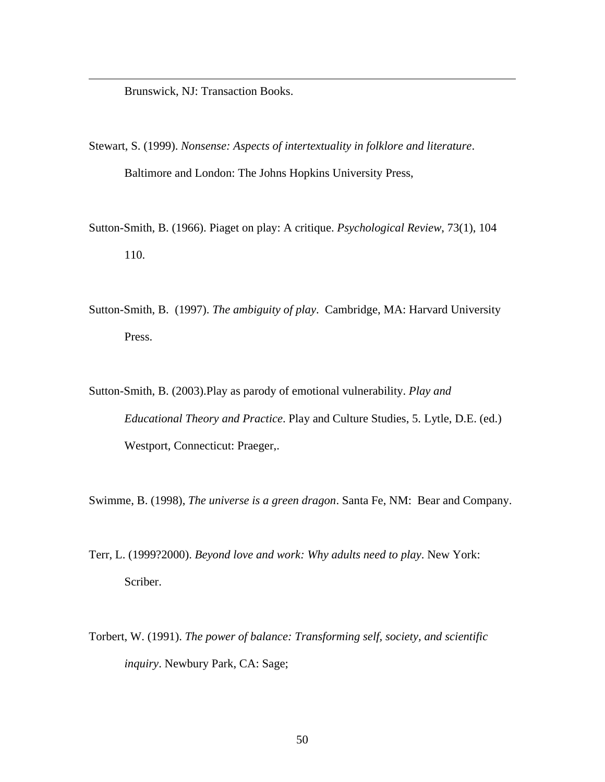Brunswick, NJ: Transaction Books.

 $\overline{a}$ 

- Stewart, S. (1999). *Nonsense: Aspects of intertextuality in folklore and literature*. Baltimore and London: The Johns Hopkins University Press,
- Sutton-Smith, B. (1966). Piaget on play: A critique. *Psychological Review*, 73(1), 104 110.
- Sutton-Smith, B. (1997). *The ambiguity of play*. Cambridge, MA: Harvard University Press.
- Sutton-Smith, B. (2003).Play as parody of emotional vulnerability. *Play and Educational Theory and Practice*. Play and Culture Studies, 5. Lytle, D.E. (ed.) Westport, Connecticut: Praeger,.

Swimme, B. (1998), *The universe is a green dragon*. Santa Fe, NM: Bear and Company.

- Terr, L. (1999?2000). *Beyond love and work: Why adults need to play*. New York: Scriber.
- Torbert, W. (1991). *The power of balance: Transforming self, society, and scientific inquiry*. Newbury Park, CA: Sage;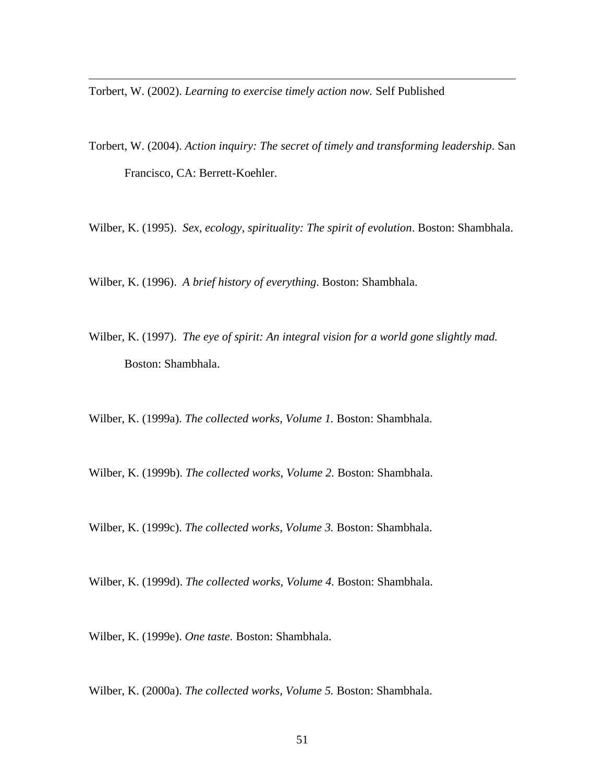Torbert, W. (2002). *Learning to exercise timely action now.* Self Published

 $\overline{a}$ 

- Torbert, W. (2004). *Action inquiry: The secret of timely and transforming leadership*. San Francisco, CA: Berrett-Koehler.
- Wilber, K. (1995). *Sex, ecology, spirituality: The spirit of evolution*. Boston: Shambhala.

Wilber, K. (1996). *A brief history of everything*. Boston: Shambhala.

Wilber, K. (1997). *The eye of spirit: An integral vision for a world gone slightly mad.* Boston: Shambhala.

Wilber, K. (1999a). *The collected works, Volume 1.* Boston: Shambhala.

Wilber, K. (1999b). *The collected works, Volume 2.* Boston: Shambhala.

Wilber, K. (1999c). *The collected works, Volume 3.* Boston: Shambhala.

Wilber, K. (1999d). *The collected works, Volume 4.* Boston: Shambhala.

Wilber, K. (1999e). *One taste.* Boston: Shambhala.

Wilber, K. (2000a). *The collected works, Volume 5.* Boston: Shambhala.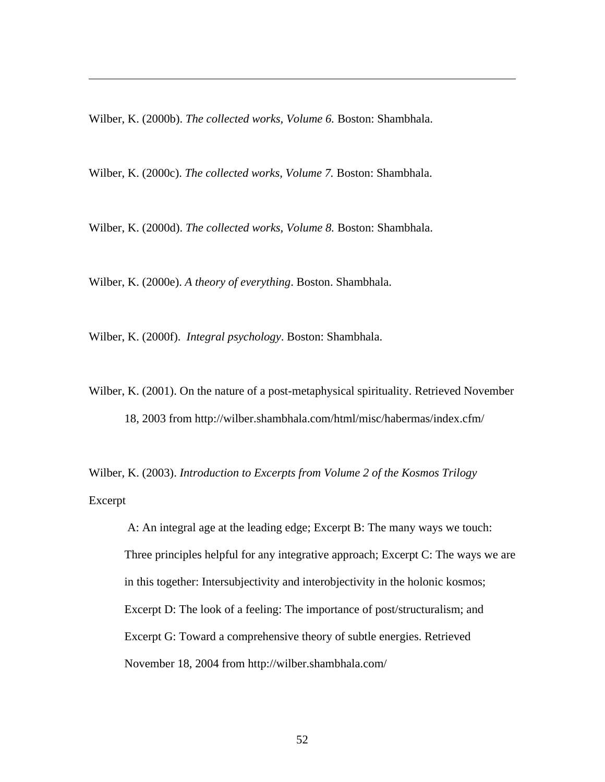Wilber, K. (2000b). *The collected works, Volume 6.* Boston: Shambhala.

 $\overline{a}$ 

Wilber, K. (2000c). *The collected works, Volume 7.* Boston: Shambhala.

Wilber, K. (2000d). *The collected works, Volume 8.* Boston: Shambhala.

Wilber, K. (2000e). *A theory of everything*. Boston. Shambhala.

Wilber, K. (2000f). *Integral psychology*. Boston: Shambhala.

Wilber, K. (2001). On the nature of a post-metaphysical spirituality. Retrieved November 18, 2003 from http://wilber.shambhala.com/html/misc/habermas/index.cfm/

Wilber, K. (2003). *Introduction to Excerpts from Volume 2 of the Kosmos Trilogy* Excerpt

A: An integral age at the leading edge; Excerpt B: The many ways we touch: Three principles helpful for any integrative approach; Excerpt C: The ways we are in this together: Intersubjectivity and interobjectivity in the holonic kosmos; Excerpt D: The look of a feeling: The importance of post/structuralism; and Excerpt G: Toward a comprehensive theory of subtle energies. Retrieved November 18, 2004 from http://wilber.shambhala.com/